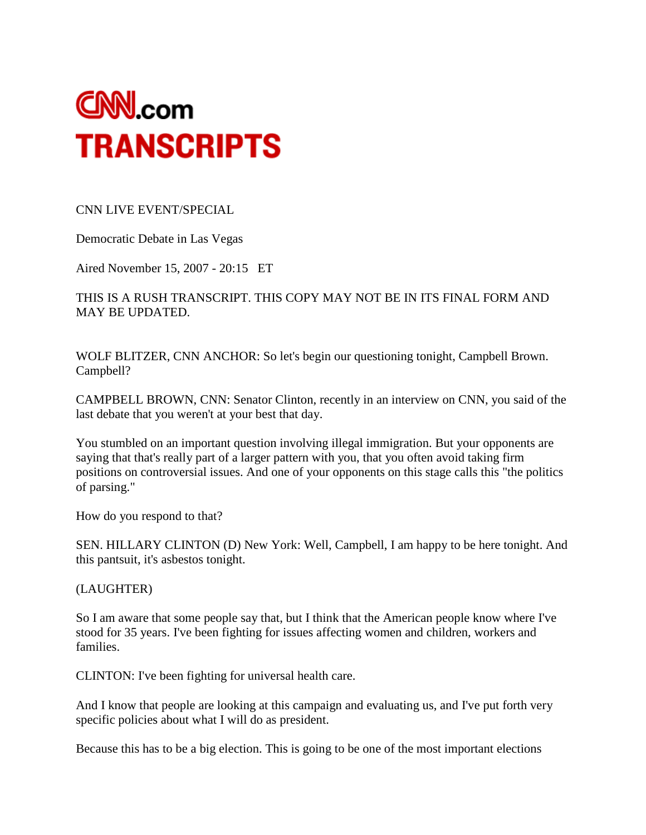

CNN LIVE EVENT/SPECIAL

Democratic Debate in Las Vegas

Aired November 15, 2007 - 20:15 ET

THIS IS A RUSH TRANSCRIPT. THIS COPY MAY NOT BE IN ITS FINAL FORM AND MAY BE UPDATED.

WOLF BLITZER, CNN ANCHOR: So let's begin our questioning tonight, Campbell Brown. Campbell?

CAMPBELL BROWN, CNN: Senator Clinton, recently in an interview on CNN, you said of the last debate that you weren't at your best that day.

You stumbled on an important question involving illegal immigration. But your opponents are saying that that's really part of a larger pattern with you, that you often avoid taking firm positions on controversial issues. And one of your opponents on this stage calls this "the politics of parsing."

How do you respond to that?

SEN. HILLARY CLINTON (D) New York: Well, Campbell, I am happy to be here tonight. And this pantsuit, it's asbestos tonight.

(LAUGHTER)

So I am aware that some people say that, but I think that the American people know where I've stood for 35 years. I've been fighting for issues affecting women and children, workers and families.

CLINTON: I've been fighting for universal health care.

And I know that people are looking at this campaign and evaluating us, and I've put forth very specific policies about what I will do as president.

Because this has to be a big election. This is going to be one of the most important elections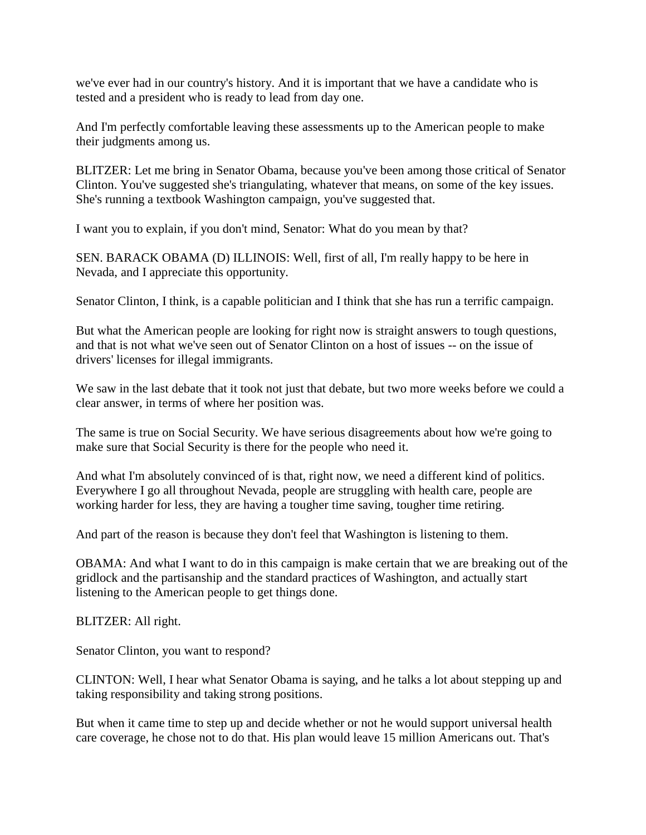we've ever had in our country's history. And it is important that we have a candidate who is tested and a president who is ready to lead from day one.

And I'm perfectly comfortable leaving these assessments up to the American people to make their judgments among us.

BLITZER: Let me bring in Senator Obama, because you've been among those critical of Senator Clinton. You've suggested she's triangulating, whatever that means, on some of the key issues. She's running a textbook Washington campaign, you've suggested that.

I want you to explain, if you don't mind, Senator: What do you mean by that?

SEN. BARACK OBAMA (D) ILLINOIS: Well, first of all, I'm really happy to be here in Nevada, and I appreciate this opportunity.

Senator Clinton, I think, is a capable politician and I think that she has run a terrific campaign.

But what the American people are looking for right now is straight answers to tough questions, and that is not what we've seen out of Senator Clinton on a host of issues -- on the issue of drivers' licenses for illegal immigrants.

We saw in the last debate that it took not just that debate, but two more weeks before we could a clear answer, in terms of where her position was.

The same is true on Social Security. We have serious disagreements about how we're going to make sure that Social Security is there for the people who need it.

And what I'm absolutely convinced of is that, right now, we need a different kind of politics. Everywhere I go all throughout Nevada, people are struggling with health care, people are working harder for less, they are having a tougher time saving, tougher time retiring.

And part of the reason is because they don't feel that Washington is listening to them.

OBAMA: And what I want to do in this campaign is make certain that we are breaking out of the gridlock and the partisanship and the standard practices of Washington, and actually start listening to the American people to get things done.

BLITZER: All right.

Senator Clinton, you want to respond?

CLINTON: Well, I hear what Senator Obama is saying, and he talks a lot about stepping up and taking responsibility and taking strong positions.

But when it came time to step up and decide whether or not he would support universal health care coverage, he chose not to do that. His plan would leave 15 million Americans out. That's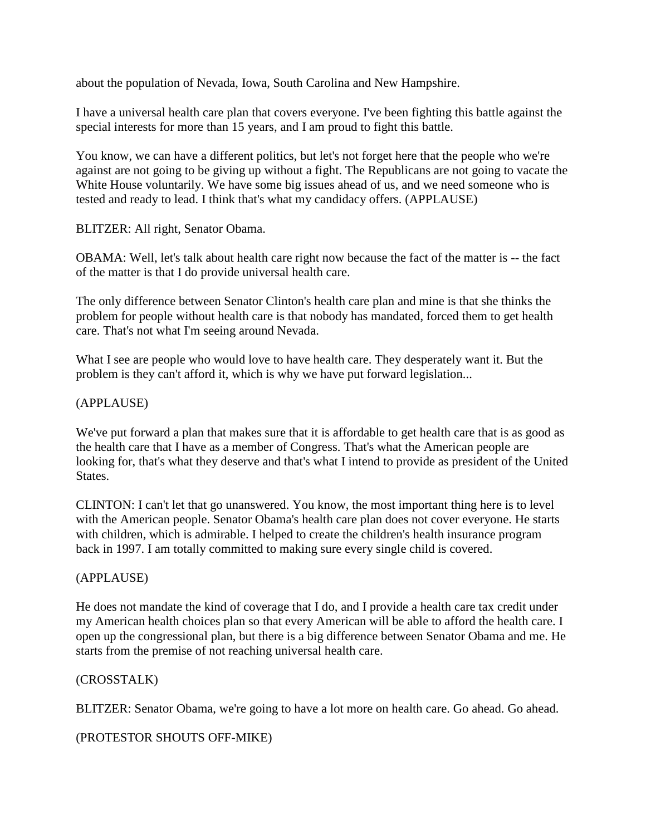about the population of Nevada, Iowa, South Carolina and New Hampshire.

I have a universal health care plan that covers everyone. I've been fighting this battle against the special interests for more than 15 years, and I am proud to fight this battle.

You know, we can have a different politics, but let's not forget here that the people who we're against are not going to be giving up without a fight. The Republicans are not going to vacate the White House voluntarily. We have some big issues ahead of us, and we need someone who is tested and ready to lead. I think that's what my candidacy offers. (APPLAUSE)

BLITZER: All right, Senator Obama.

OBAMA: Well, let's talk about health care right now because the fact of the matter is -- the fact of the matter is that I do provide universal health care.

The only difference between Senator Clinton's health care plan and mine is that she thinks the problem for people without health care is that nobody has mandated, forced them to get health care. That's not what I'm seeing around Nevada.

What I see are people who would love to have health care. They desperately want it. But the problem is they can't afford it, which is why we have put forward legislation...

# (APPLAUSE)

We've put forward a plan that makes sure that it is affordable to get health care that is as good as the health care that I have as a member of Congress. That's what the American people are looking for, that's what they deserve and that's what I intend to provide as president of the United States.

CLINTON: I can't let that go unanswered. You know, the most important thing here is to level with the American people. Senator Obama's health care plan does not cover everyone. He starts with children, which is admirable. I helped to create the children's health insurance program back in 1997. I am totally committed to making sure every single child is covered.

### (APPLAUSE)

He does not mandate the kind of coverage that I do, and I provide a health care tax credit under my American health choices plan so that every American will be able to afford the health care. I open up the congressional plan, but there is a big difference between Senator Obama and me. He starts from the premise of not reaching universal health care.

# (CROSSTALK)

BLITZER: Senator Obama, we're going to have a lot more on health care. Go ahead. Go ahead.

(PROTESTOR SHOUTS OFF-MIKE)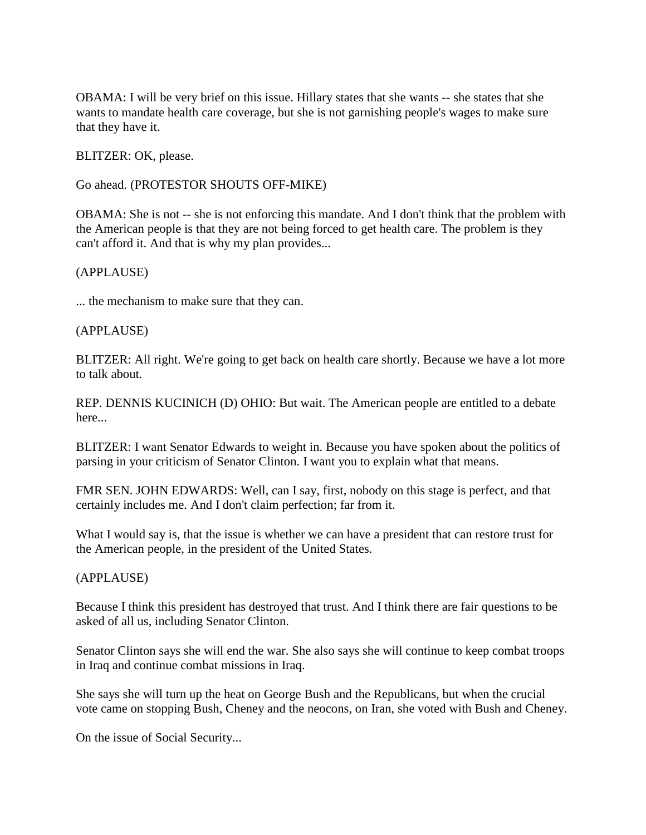OBAMA: I will be very brief on this issue. Hillary states that she wants -- she states that she wants to mandate health care coverage, but she is not garnishing people's wages to make sure that they have it.

BLITZER: OK, please.

Go ahead. (PROTESTOR SHOUTS OFF-MIKE)

OBAMA: She is not -- she is not enforcing this mandate. And I don't think that the problem with the American people is that they are not being forced to get health care. The problem is they can't afford it. And that is why my plan provides...

(APPLAUSE)

... the mechanism to make sure that they can.

#### (APPLAUSE)

BLITZER: All right. We're going to get back on health care shortly. Because we have a lot more to talk about.

REP. DENNIS KUCINICH (D) OHIO: But wait. The American people are entitled to a debate here...

BLITZER: I want Senator Edwards to weight in. Because you have spoken about the politics of parsing in your criticism of Senator Clinton. I want you to explain what that means.

FMR SEN. JOHN EDWARDS: Well, can I say, first, nobody on this stage is perfect, and that certainly includes me. And I don't claim perfection; far from it.

What I would say is, that the issue is whether we can have a president that can restore trust for the American people, in the president of the United States.

#### (APPLAUSE)

Because I think this president has destroyed that trust. And I think there are fair questions to be asked of all us, including Senator Clinton.

Senator Clinton says she will end the war. She also says she will continue to keep combat troops in Iraq and continue combat missions in Iraq.

She says she will turn up the heat on George Bush and the Republicans, but when the crucial vote came on stopping Bush, Cheney and the neocons, on Iran, she voted with Bush and Cheney.

On the issue of Social Security...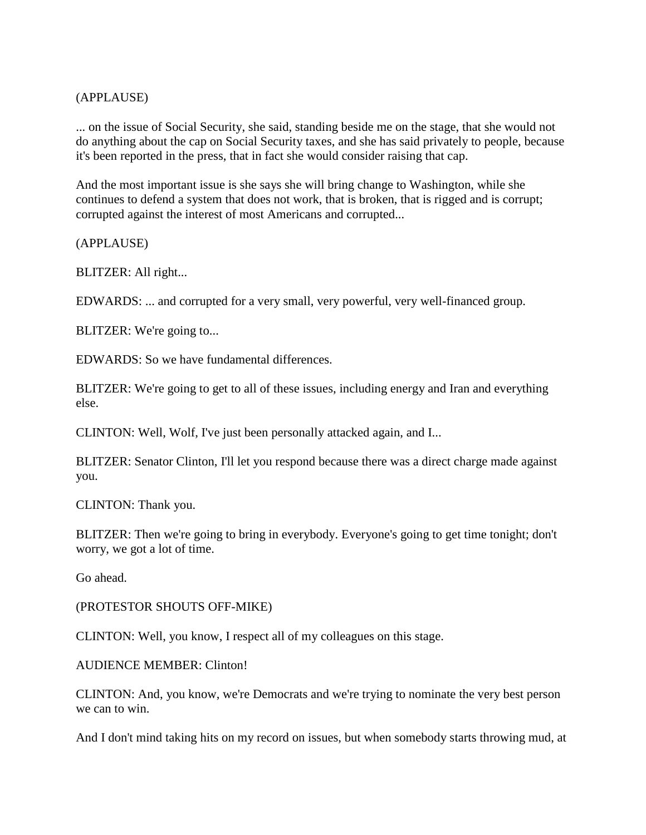### (APPLAUSE)

... on the issue of Social Security, she said, standing beside me on the stage, that she would not do anything about the cap on Social Security taxes, and she has said privately to people, because it's been reported in the press, that in fact she would consider raising that cap.

And the most important issue is she says she will bring change to Washington, while she continues to defend a system that does not work, that is broken, that is rigged and is corrupt; corrupted against the interest of most Americans and corrupted...

(APPLAUSE)

BLITZER: All right...

EDWARDS: ... and corrupted for a very small, very powerful, very well-financed group.

BLITZER: We're going to...

EDWARDS: So we have fundamental differences.

BLITZER: We're going to get to all of these issues, including energy and Iran and everything else.

CLINTON: Well, Wolf, I've just been personally attacked again, and I...

BLITZER: Senator Clinton, I'll let you respond because there was a direct charge made against you.

CLINTON: Thank you.

BLITZER: Then we're going to bring in everybody. Everyone's going to get time tonight; don't worry, we got a lot of time.

Go ahead.

(PROTESTOR SHOUTS OFF-MIKE)

CLINTON: Well, you know, I respect all of my colleagues on this stage.

AUDIENCE MEMBER: Clinton!

CLINTON: And, you know, we're Democrats and we're trying to nominate the very best person we can to win.

And I don't mind taking hits on my record on issues, but when somebody starts throwing mud, at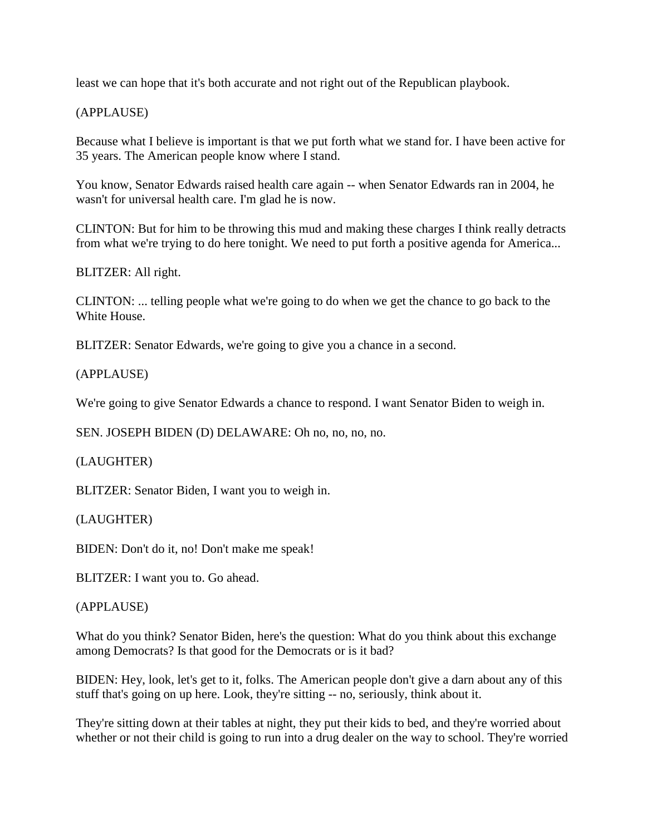least we can hope that it's both accurate and not right out of the Republican playbook.

(APPLAUSE)

Because what I believe is important is that we put forth what we stand for. I have been active for 35 years. The American people know where I stand.

You know, Senator Edwards raised health care again -- when Senator Edwards ran in 2004, he wasn't for universal health care. I'm glad he is now.

CLINTON: But for him to be throwing this mud and making these charges I think really detracts from what we're trying to do here tonight. We need to put forth a positive agenda for America...

BLITZER: All right.

CLINTON: ... telling people what we're going to do when we get the chance to go back to the White House.

BLITZER: Senator Edwards, we're going to give you a chance in a second.

(APPLAUSE)

We're going to give Senator Edwards a chance to respond. I want Senator Biden to weigh in.

SEN. JOSEPH BIDEN (D) DELAWARE: Oh no, no, no, no.

(LAUGHTER)

BLITZER: Senator Biden, I want you to weigh in.

(LAUGHTER)

BIDEN: Don't do it, no! Don't make me speak!

BLITZER: I want you to. Go ahead.

(APPLAUSE)

What do you think? Senator Biden, here's the question: What do you think about this exchange among Democrats? Is that good for the Democrats or is it bad?

BIDEN: Hey, look, let's get to it, folks. The American people don't give a darn about any of this stuff that's going on up here. Look, they're sitting -- no, seriously, think about it.

They're sitting down at their tables at night, they put their kids to bed, and they're worried about whether or not their child is going to run into a drug dealer on the way to school. They're worried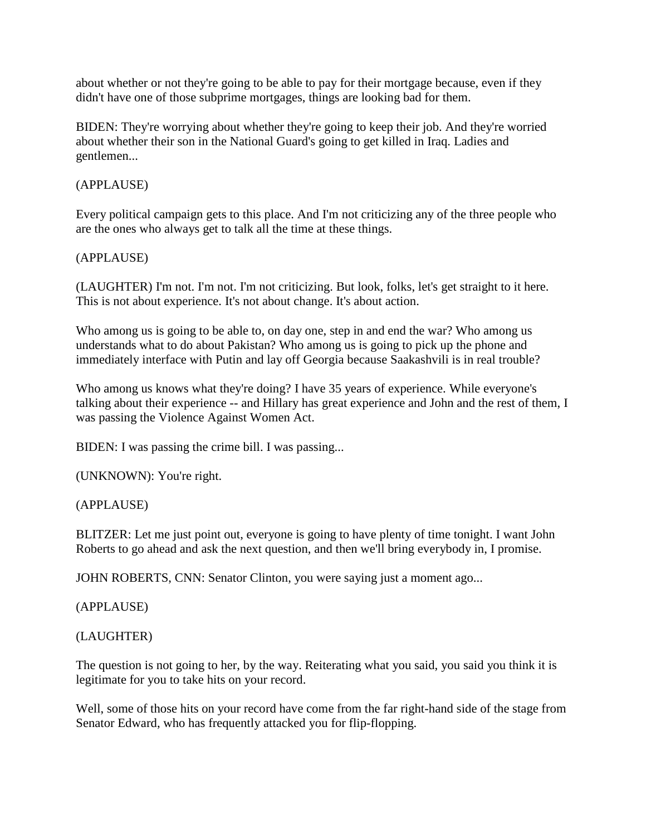about whether or not they're going to be able to pay for their mortgage because, even if they didn't have one of those subprime mortgages, things are looking bad for them.

BIDEN: They're worrying about whether they're going to keep their job. And they're worried about whether their son in the National Guard's going to get killed in Iraq. Ladies and gentlemen...

# (APPLAUSE)

Every political campaign gets to this place. And I'm not criticizing any of the three people who are the ones who always get to talk all the time at these things.

## (APPLAUSE)

(LAUGHTER) I'm not. I'm not. I'm not criticizing. But look, folks, let's get straight to it here. This is not about experience. It's not about change. It's about action.

Who among us is going to be able to, on day one, step in and end the war? Who among us understands what to do about Pakistan? Who among us is going to pick up the phone and immediately interface with Putin and lay off Georgia because Saakashvili is in real trouble?

Who among us knows what they're doing? I have 35 years of experience. While everyone's talking about their experience -- and Hillary has great experience and John and the rest of them, I was passing the Violence Against Women Act.

BIDEN: I was passing the crime bill. I was passing...

(UNKNOWN): You're right.

### (APPLAUSE)

BLITZER: Let me just point out, everyone is going to have plenty of time tonight. I want John Roberts to go ahead and ask the next question, and then we'll bring everybody in, I promise.

JOHN ROBERTS, CNN: Senator Clinton, you were saying just a moment ago...

### (APPLAUSE)

### (LAUGHTER)

The question is not going to her, by the way. Reiterating what you said, you said you think it is legitimate for you to take hits on your record.

Well, some of those hits on your record have come from the far right-hand side of the stage from Senator Edward, who has frequently attacked you for flip-flopping.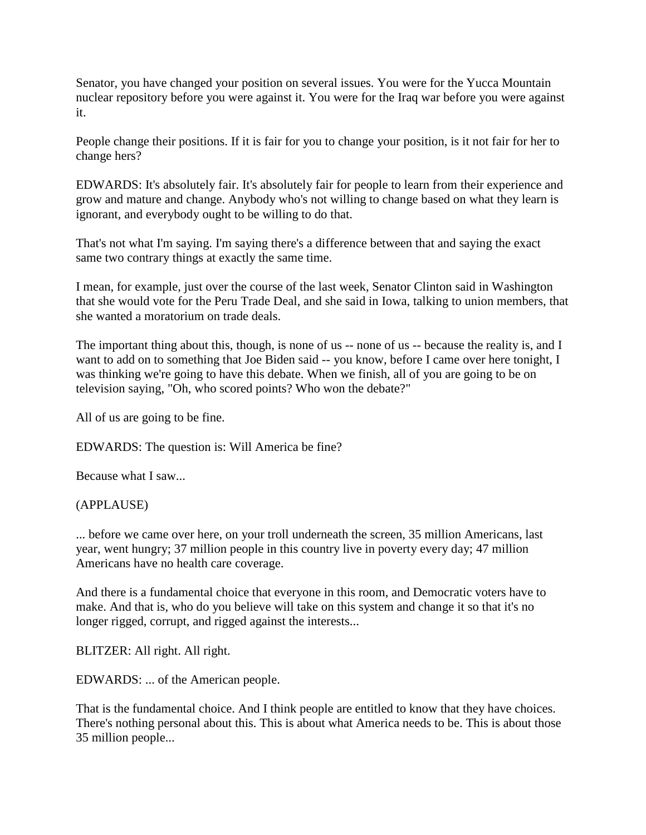Senator, you have changed your position on several issues. You were for the Yucca Mountain nuclear repository before you were against it. You were for the Iraq war before you were against it.

People change their positions. If it is fair for you to change your position, is it not fair for her to change hers?

EDWARDS: It's absolutely fair. It's absolutely fair for people to learn from their experience and grow and mature and change. Anybody who's not willing to change based on what they learn is ignorant, and everybody ought to be willing to do that.

That's not what I'm saying. I'm saying there's a difference between that and saying the exact same two contrary things at exactly the same time.

I mean, for example, just over the course of the last week, Senator Clinton said in Washington that she would vote for the Peru Trade Deal, and she said in Iowa, talking to union members, that she wanted a moratorium on trade deals.

The important thing about this, though, is none of us -- none of us -- because the reality is, and I want to add on to something that Joe Biden said -- you know, before I came over here tonight, I was thinking we're going to have this debate. When we finish, all of you are going to be on television saying, "Oh, who scored points? Who won the debate?"

All of us are going to be fine.

EDWARDS: The question is: Will America be fine?

Because what I saw...

### (APPLAUSE)

... before we came over here, on your troll underneath the screen, 35 million Americans, last year, went hungry; 37 million people in this country live in poverty every day; 47 million Americans have no health care coverage.

And there is a fundamental choice that everyone in this room, and Democratic voters have to make. And that is, who do you believe will take on this system and change it so that it's no longer rigged, corrupt, and rigged against the interests...

BLITZER: All right. All right.

EDWARDS: ... of the American people.

That is the fundamental choice. And I think people are entitled to know that they have choices. There's nothing personal about this. This is about what America needs to be. This is about those 35 million people...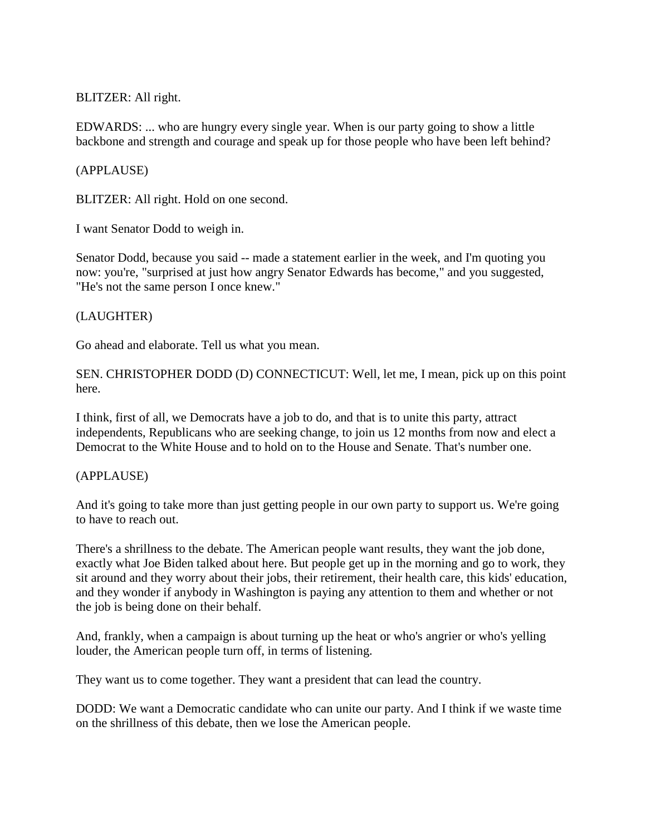## BLITZER: All right.

EDWARDS: ... who are hungry every single year. When is our party going to show a little backbone and strength and courage and speak up for those people who have been left behind?

### (APPLAUSE)

BLITZER: All right. Hold on one second.

I want Senator Dodd to weigh in.

Senator Dodd, because you said -- made a statement earlier in the week, and I'm quoting you now: you're, "surprised at just how angry Senator Edwards has become," and you suggested, "He's not the same person I once knew."

## (LAUGHTER)

Go ahead and elaborate. Tell us what you mean.

SEN. CHRISTOPHER DODD (D) CONNECTICUT: Well, let me, I mean, pick up on this point here.

I think, first of all, we Democrats have a job to do, and that is to unite this party, attract independents, Republicans who are seeking change, to join us 12 months from now and elect a Democrat to the White House and to hold on to the House and Senate. That's number one.

### (APPLAUSE)

And it's going to take more than just getting people in our own party to support us. We're going to have to reach out.

There's a shrillness to the debate. The American people want results, they want the job done, exactly what Joe Biden talked about here. But people get up in the morning and go to work, they sit around and they worry about their jobs, their retirement, their health care, this kids' education, and they wonder if anybody in Washington is paying any attention to them and whether or not the job is being done on their behalf.

And, frankly, when a campaign is about turning up the heat or who's angrier or who's yelling louder, the American people turn off, in terms of listening.

They want us to come together. They want a president that can lead the country.

DODD: We want a Democratic candidate who can unite our party. And I think if we waste time on the shrillness of this debate, then we lose the American people.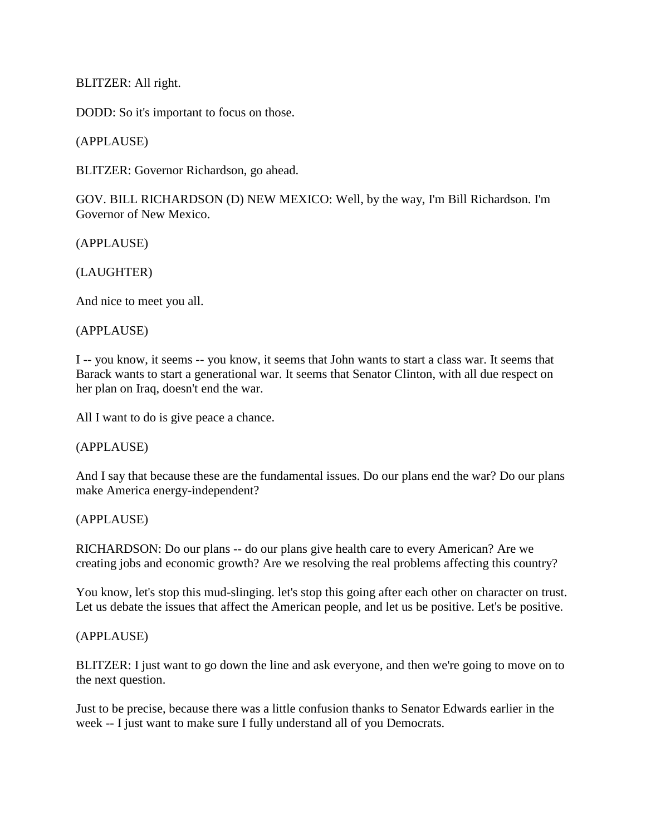### BLITZER: All right.

DODD: So it's important to focus on those.

(APPLAUSE)

BLITZER: Governor Richardson, go ahead.

GOV. BILL RICHARDSON (D) NEW MEXICO: Well, by the way, I'm Bill Richardson. I'm Governor of New Mexico.

(APPLAUSE)

(LAUGHTER)

And nice to meet you all.

## (APPLAUSE)

I -- you know, it seems -- you know, it seems that John wants to start a class war. It seems that Barack wants to start a generational war. It seems that Senator Clinton, with all due respect on her plan on Iraq, doesn't end the war.

All I want to do is give peace a chance.

### (APPLAUSE)

And I say that because these are the fundamental issues. Do our plans end the war? Do our plans make America energy-independent?

### (APPLAUSE)

RICHARDSON: Do our plans -- do our plans give health care to every American? Are we creating jobs and economic growth? Are we resolving the real problems affecting this country?

You know, let's stop this mud-slinging. let's stop this going after each other on character on trust. Let us debate the issues that affect the American people, and let us be positive. Let's be positive.

### (APPLAUSE)

BLITZER: I just want to go down the line and ask everyone, and then we're going to move on to the next question.

Just to be precise, because there was a little confusion thanks to Senator Edwards earlier in the week -- I just want to make sure I fully understand all of you Democrats.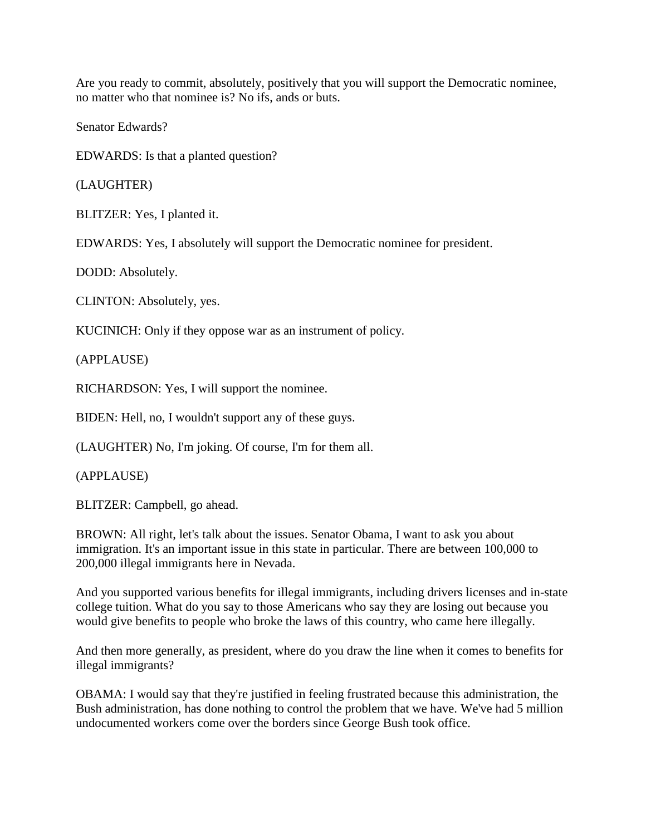Are you ready to commit, absolutely, positively that you will support the Democratic nominee, no matter who that nominee is? No ifs, ands or buts.

Senator Edwards?

EDWARDS: Is that a planted question?

(LAUGHTER)

BLITZER: Yes, I planted it.

EDWARDS: Yes, I absolutely will support the Democratic nominee for president.

DODD: Absolutely.

CLINTON: Absolutely, yes.

KUCINICH: Only if they oppose war as an instrument of policy.

(APPLAUSE)

RICHARDSON: Yes, I will support the nominee.

BIDEN: Hell, no, I wouldn't support any of these guys.

(LAUGHTER) No, I'm joking. Of course, I'm for them all.

(APPLAUSE)

BLITZER: Campbell, go ahead.

BROWN: All right, let's talk about the issues. Senator Obama, I want to ask you about immigration. It's an important issue in this state in particular. There are between 100,000 to 200,000 illegal immigrants here in Nevada.

And you supported various benefits for illegal immigrants, including drivers licenses and in-state college tuition. What do you say to those Americans who say they are losing out because you would give benefits to people who broke the laws of this country, who came here illegally.

And then more generally, as president, where do you draw the line when it comes to benefits for illegal immigrants?

OBAMA: I would say that they're justified in feeling frustrated because this administration, the Bush administration, has done nothing to control the problem that we have. We've had 5 million undocumented workers come over the borders since George Bush took office.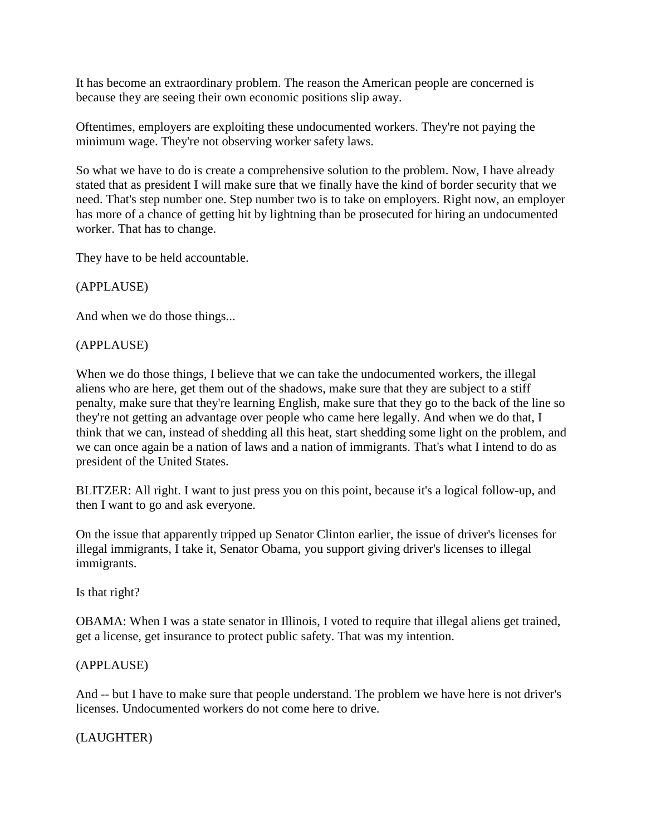It has become an extraordinary problem. The reason the American people are concerned is because they are seeing their own economic positions slip away.

Oftentimes, employers are exploiting these undocumented workers. They're not paying the minimum wage. They're not observing worker safety laws.

So what we have to do is create a comprehensive solution to the problem. Now, I have already stated that as president I will make sure that we finally have the kind of border security that we need. That's step number one. Step number two is to take on employers. Right now, an employer has more of a chance of getting hit by lightning than be prosecuted for hiring an undocumented worker. That has to change.

They have to be held accountable.

# (APPLAUSE)

And when we do those things...

## (APPLAUSE)

When we do those things, I believe that we can take the undocumented workers, the illegal aliens who are here, get them out of the shadows, make sure that they are subject to a stiff penalty, make sure that they're learning English, make sure that they go to the back of the line so they're not getting an advantage over people who came here legally. And when we do that, I think that we can, instead of shedding all this heat, start shedding some light on the problem, and we can once again be a nation of laws and a nation of immigrants. That's what I intend to do as president of the United States.

BLITZER: All right. I want to just press you on this point, because it's a logical follow-up, and then I want to go and ask everyone.

On the issue that apparently tripped up Senator Clinton earlier, the issue of driver's licenses for illegal immigrants, I take it, Senator Obama, you support giving driver's licenses to illegal immigrants.

Is that right?

OBAMA: When I was a state senator in Illinois, I voted to require that illegal aliens get trained, get a license, get insurance to protect public safety. That was my intention.

### (APPLAUSE)

And -- but I have to make sure that people understand. The problem we have here is not driver's licenses. Undocumented workers do not come here to drive.

(LAUGHTER)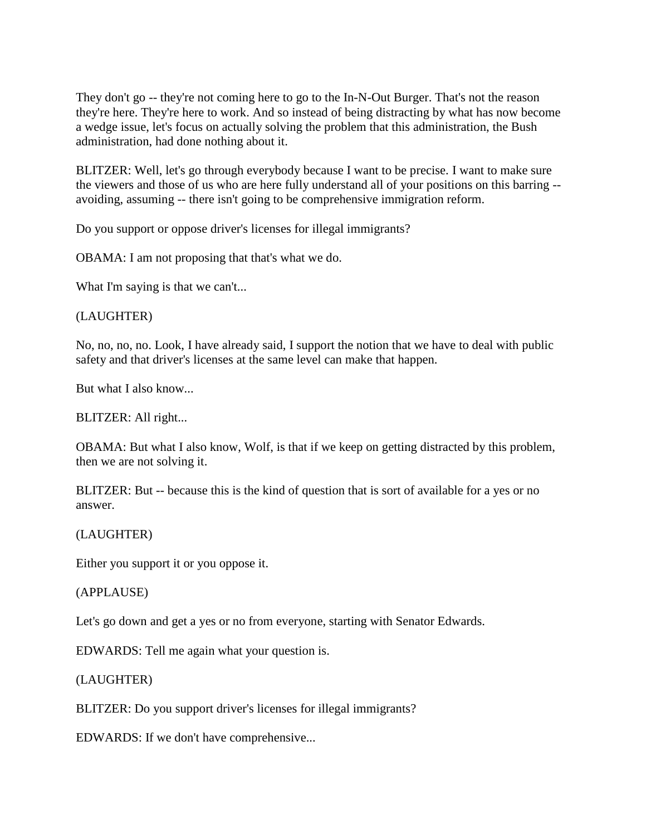They don't go -- they're not coming here to go to the In-N-Out Burger. That's not the reason they're here. They're here to work. And so instead of being distracting by what has now become a wedge issue, let's focus on actually solving the problem that this administration, the Bush administration, had done nothing about it.

BLITZER: Well, let's go through everybody because I want to be precise. I want to make sure the viewers and those of us who are here fully understand all of your positions on this barring - avoiding, assuming -- there isn't going to be comprehensive immigration reform.

Do you support or oppose driver's licenses for illegal immigrants?

OBAMA: I am not proposing that that's what we do.

What I'm saying is that we can't...

(LAUGHTER)

No, no, no, no. Look, I have already said, I support the notion that we have to deal with public safety and that driver's licenses at the same level can make that happen.

But what I also know...

BLITZER: All right...

OBAMA: But what I also know, Wolf, is that if we keep on getting distracted by this problem, then we are not solving it.

BLITZER: But -- because this is the kind of question that is sort of available for a yes or no answer.

### (LAUGHTER)

Either you support it or you oppose it.

(APPLAUSE)

Let's go down and get a yes or no from everyone, starting with Senator Edwards.

EDWARDS: Tell me again what your question is.

(LAUGHTER)

BLITZER: Do you support driver's licenses for illegal immigrants?

EDWARDS: If we don't have comprehensive...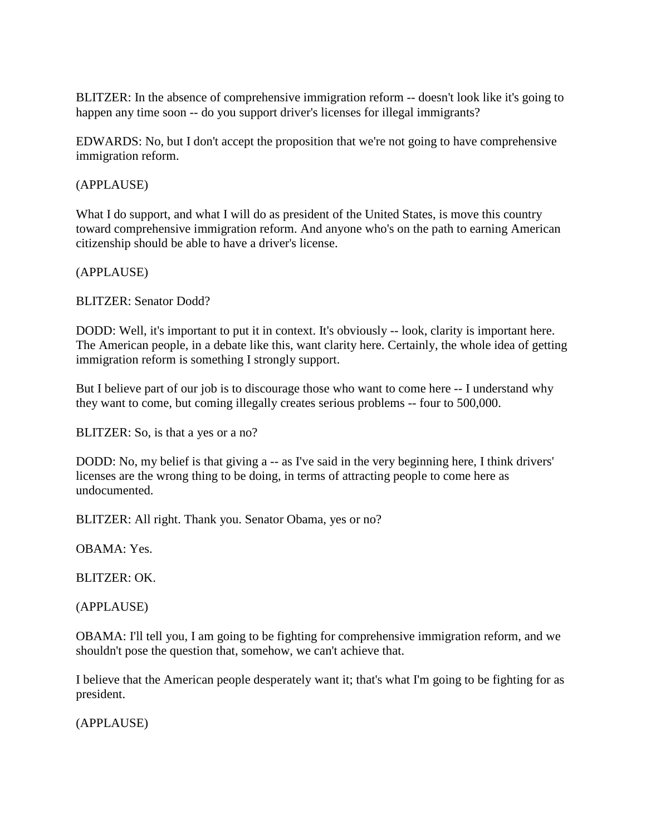BLITZER: In the absence of comprehensive immigration reform -- doesn't look like it's going to happen any time soon -- do you support driver's licenses for illegal immigrants?

EDWARDS: No, but I don't accept the proposition that we're not going to have comprehensive immigration reform.

## (APPLAUSE)

What I do support, and what I will do as president of the United States, is move this country toward comprehensive immigration reform. And anyone who's on the path to earning American citizenship should be able to have a driver's license.

### (APPLAUSE)

BLITZER: Senator Dodd?

DODD: Well, it's important to put it in context. It's obviously -- look, clarity is important here. The American people, in a debate like this, want clarity here. Certainly, the whole idea of getting immigration reform is something I strongly support.

But I believe part of our job is to discourage those who want to come here -- I understand why they want to come, but coming illegally creates serious problems -- four to 500,000.

BLITZER: So, is that a yes or a no?

DODD: No, my belief is that giving a -- as I've said in the very beginning here, I think drivers' licenses are the wrong thing to be doing, in terms of attracting people to come here as undocumented.

BLITZER: All right. Thank you. Senator Obama, yes or no?

OBAMA: Yes.

BLITZER: OK.

(APPLAUSE)

OBAMA: I'll tell you, I am going to be fighting for comprehensive immigration reform, and we shouldn't pose the question that, somehow, we can't achieve that.

I believe that the American people desperately want it; that's what I'm going to be fighting for as president.

(APPLAUSE)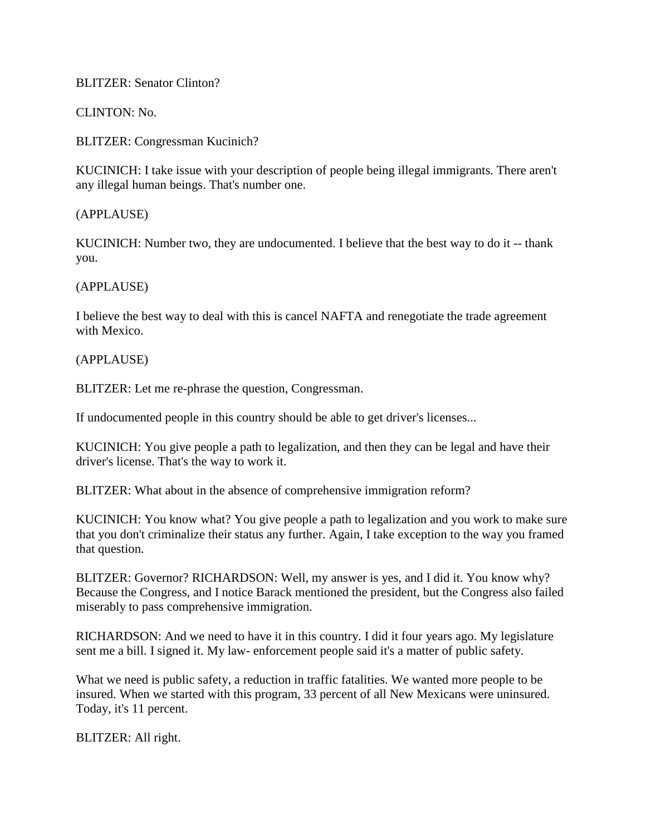BLITZER: Senator Clinton?

CLINTON: No.

BLITZER: Congressman Kucinich?

KUCINICH: I take issue with your description of people being illegal immigrants. There aren't any illegal human beings. That's number one.

(APPLAUSE)

KUCINICH: Number two, they are undocumented. I believe that the best way to do it -- thank you.

### (APPLAUSE)

I believe the best way to deal with this is cancel NAFTA and renegotiate the trade agreement with Mexico.

## (APPLAUSE)

BLITZER: Let me re-phrase the question, Congressman.

If undocumented people in this country should be able to get driver's licenses...

KUCINICH: You give people a path to legalization, and then they can be legal and have their driver's license. That's the way to work it.

BLITZER: What about in the absence of comprehensive immigration reform?

KUCINICH: You know what? You give people a path to legalization and you work to make sure that you don't criminalize their status any further. Again, I take exception to the way you framed that question.

BLITZER: Governor? RICHARDSON: Well, my answer is yes, and I did it. You know why? Because the Congress, and I notice Barack mentioned the president, but the Congress also failed miserably to pass comprehensive immigration.

RICHARDSON: And we need to have it in this country. I did it four years ago. My legislature sent me a bill. I signed it. My law- enforcement people said it's a matter of public safety.

What we need is public safety, a reduction in traffic fatalities. We wanted more people to be insured. When we started with this program, 33 percent of all New Mexicans were uninsured. Today, it's 11 percent.

BLITZER: All right.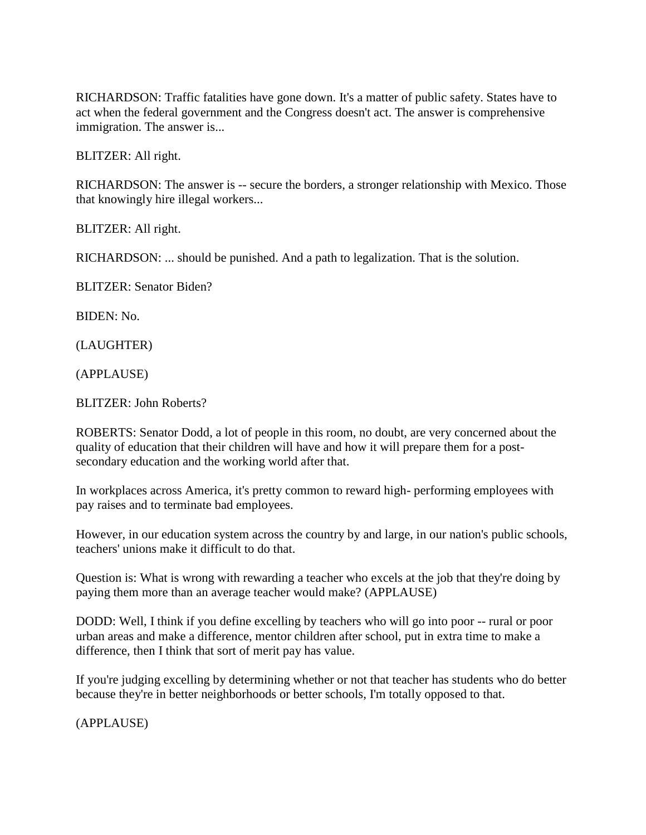RICHARDSON: Traffic fatalities have gone down. It's a matter of public safety. States have to act when the federal government and the Congress doesn't act. The answer is comprehensive immigration. The answer is...

BLITZER: All right.

RICHARDSON: The answer is -- secure the borders, a stronger relationship with Mexico. Those that knowingly hire illegal workers...

BLITZER: All right.

RICHARDSON: ... should be punished. And a path to legalization. That is the solution.

BLITZER: Senator Biden?

BIDEN: No.

(LAUGHTER)

(APPLAUSE)

BLITZER: John Roberts?

ROBERTS: Senator Dodd, a lot of people in this room, no doubt, are very concerned about the quality of education that their children will have and how it will prepare them for a postsecondary education and the working world after that.

In workplaces across America, it's pretty common to reward high- performing employees with pay raises and to terminate bad employees.

However, in our education system across the country by and large, in our nation's public schools, teachers' unions make it difficult to do that.

Question is: What is wrong with rewarding a teacher who excels at the job that they're doing by paying them more than an average teacher would make? (APPLAUSE)

DODD: Well, I think if you define excelling by teachers who will go into poor -- rural or poor urban areas and make a difference, mentor children after school, put in extra time to make a difference, then I think that sort of merit pay has value.

If you're judging excelling by determining whether or not that teacher has students who do better because they're in better neighborhoods or better schools, I'm totally opposed to that.

(APPLAUSE)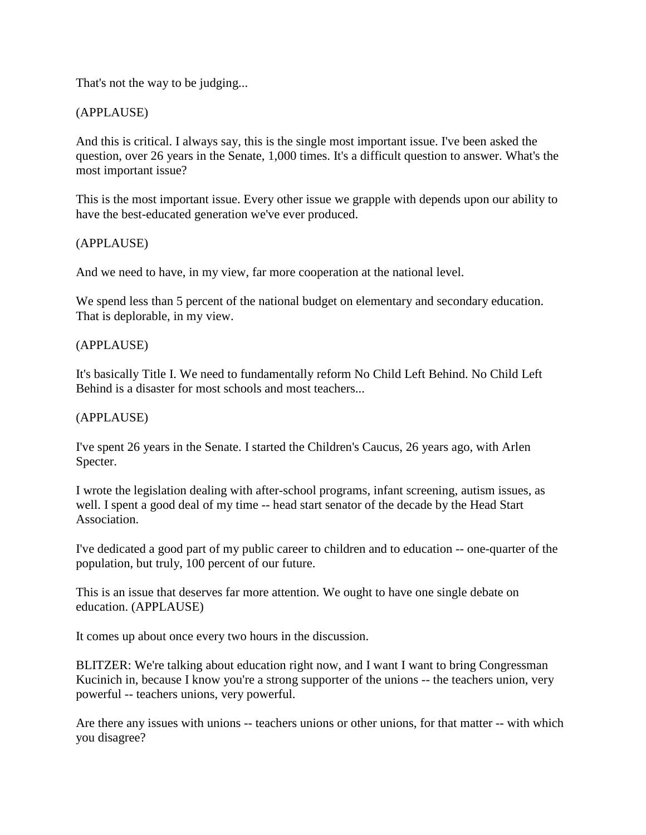That's not the way to be judging...

## (APPLAUSE)

And this is critical. I always say, this is the single most important issue. I've been asked the question, over 26 years in the Senate, 1,000 times. It's a difficult question to answer. What's the most important issue?

This is the most important issue. Every other issue we grapple with depends upon our ability to have the best-educated generation we've ever produced.

### (APPLAUSE)

And we need to have, in my view, far more cooperation at the national level.

We spend less than 5 percent of the national budget on elementary and secondary education. That is deplorable, in my view.

### (APPLAUSE)

It's basically Title I. We need to fundamentally reform No Child Left Behind. No Child Left Behind is a disaster for most schools and most teachers...

#### (APPLAUSE)

I've spent 26 years in the Senate. I started the Children's Caucus, 26 years ago, with Arlen Specter.

I wrote the legislation dealing with after-school programs, infant screening, autism issues, as well. I spent a good deal of my time -- head start senator of the decade by the Head Start Association.

I've dedicated a good part of my public career to children and to education -- one-quarter of the population, but truly, 100 percent of our future.

This is an issue that deserves far more attention. We ought to have one single debate on education. (APPLAUSE)

It comes up about once every two hours in the discussion.

BLITZER: We're talking about education right now, and I want I want to bring Congressman Kucinich in, because I know you're a strong supporter of the unions -- the teachers union, very powerful -- teachers unions, very powerful.

Are there any issues with unions -- teachers unions or other unions, for that matter -- with which you disagree?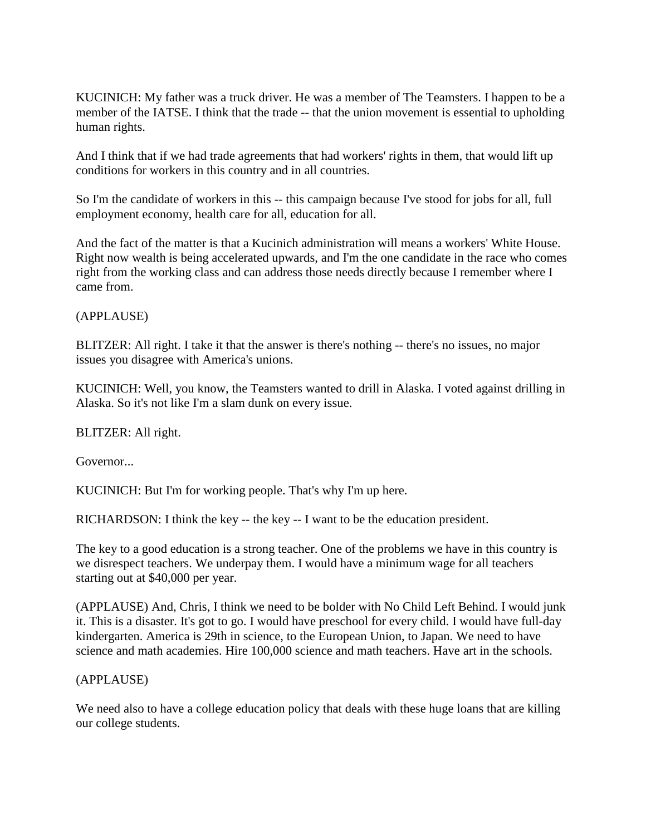KUCINICH: My father was a truck driver. He was a member of The Teamsters. I happen to be a member of the IATSE. I think that the trade -- that the union movement is essential to upholding human rights.

And I think that if we had trade agreements that had workers' rights in them, that would lift up conditions for workers in this country and in all countries.

So I'm the candidate of workers in this  $-$ - this campaign because I've stood for jobs for all, full employment economy, health care for all, education for all.

And the fact of the matter is that a Kucinich administration will means a workers' White House. Right now wealth is being accelerated upwards, and I'm the one candidate in the race who comes right from the working class and can address those needs directly because I remember where I came from.

(APPLAUSE)

BLITZER: All right. I take it that the answer is there's nothing -- there's no issues, no major issues you disagree with America's unions.

KUCINICH: Well, you know, the Teamsters wanted to drill in Alaska. I voted against drilling in Alaska. So it's not like I'm a slam dunk on every issue.

BLITZER: All right.

Governor...

KUCINICH: But I'm for working people. That's why I'm up here.

RICHARDSON: I think the key -- the key -- I want to be the education president.

The key to a good education is a strong teacher. One of the problems we have in this country is we disrespect teachers. We underpay them. I would have a minimum wage for all teachers starting out at \$40,000 per year.

(APPLAUSE) And, Chris, I think we need to be bolder with No Child Left Behind. I would junk it. This is a disaster. It's got to go. I would have preschool for every child. I would have full-day kindergarten. America is 29th in science, to the European Union, to Japan. We need to have science and math academies. Hire 100,000 science and math teachers. Have art in the schools.

### (APPLAUSE)

We need also to have a college education policy that deals with these huge loans that are killing our college students.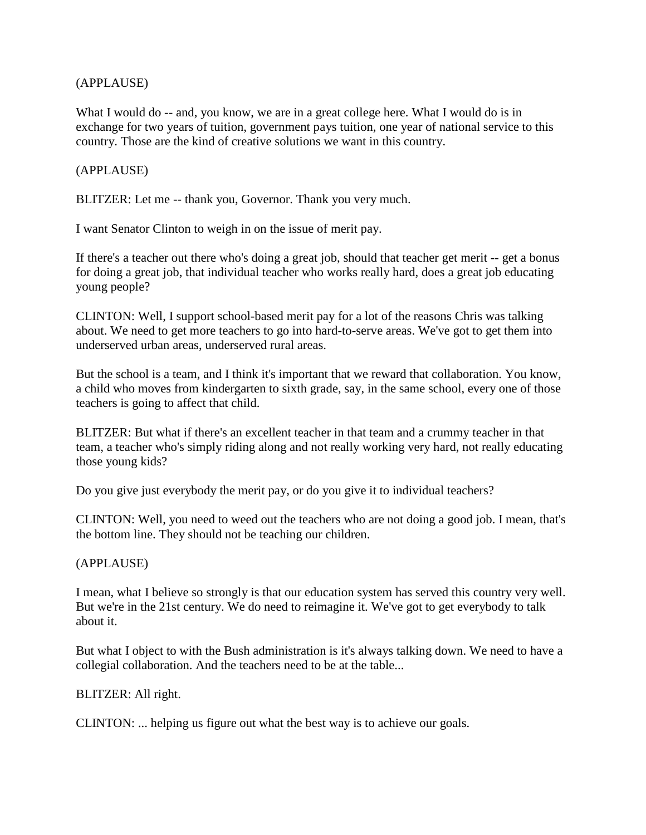### (APPLAUSE)

What I would do -- and, you know, we are in a great college here. What I would do is in exchange for two years of tuition, government pays tuition, one year of national service to this country. Those are the kind of creative solutions we want in this country.

#### (APPLAUSE)

BLITZER: Let me -- thank you, Governor. Thank you very much.

I want Senator Clinton to weigh in on the issue of merit pay.

If there's a teacher out there who's doing a great job, should that teacher get merit -- get a bonus for doing a great job, that individual teacher who works really hard, does a great job educating young people?

CLINTON: Well, I support school-based merit pay for a lot of the reasons Chris was talking about. We need to get more teachers to go into hard-to-serve areas. We've got to get them into underserved urban areas, underserved rural areas.

But the school is a team, and I think it's important that we reward that collaboration. You know, a child who moves from kindergarten to sixth grade, say, in the same school, every one of those teachers is going to affect that child.

BLITZER: But what if there's an excellent teacher in that team and a crummy teacher in that team, a teacher who's simply riding along and not really working very hard, not really educating those young kids?

Do you give just everybody the merit pay, or do you give it to individual teachers?

CLINTON: Well, you need to weed out the teachers who are not doing a good job. I mean, that's the bottom line. They should not be teaching our children.

#### (APPLAUSE)

I mean, what I believe so strongly is that our education system has served this country very well. But we're in the 21st century. We do need to reimagine it. We've got to get everybody to talk about it.

But what I object to with the Bush administration is it's always talking down. We need to have a collegial collaboration. And the teachers need to be at the table...

#### BLITZER: All right.

CLINTON: ... helping us figure out what the best way is to achieve our goals.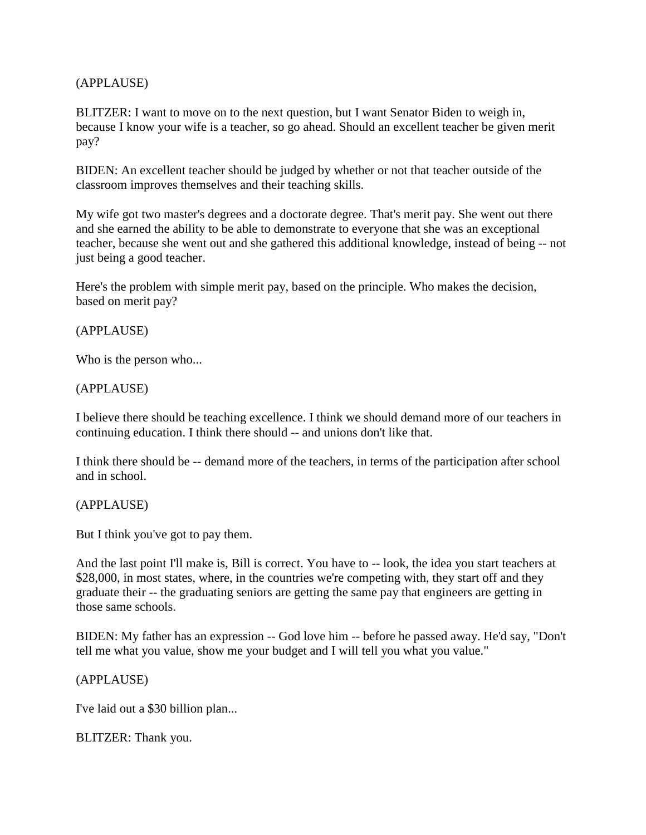## (APPLAUSE)

BLITZER: I want to move on to the next question, but I want Senator Biden to weigh in, because I know your wife is a teacher, so go ahead. Should an excellent teacher be given merit pay?

BIDEN: An excellent teacher should be judged by whether or not that teacher outside of the classroom improves themselves and their teaching skills.

My wife got two master's degrees and a doctorate degree. That's merit pay. She went out there and she earned the ability to be able to demonstrate to everyone that she was an exceptional teacher, because she went out and she gathered this additional knowledge, instead of being -- not just being a good teacher.

Here's the problem with simple merit pay, based on the principle. Who makes the decision, based on merit pay?

### (APPLAUSE)

Who is the person who...

#### (APPLAUSE)

I believe there should be teaching excellence. I think we should demand more of our teachers in continuing education. I think there should -- and unions don't like that.

I think there should be -- demand more of the teachers, in terms of the participation after school and in school.

#### (APPLAUSE)

But I think you've got to pay them.

And the last point I'll make is, Bill is correct. You have to -- look, the idea you start teachers at \$28,000, in most states, where, in the countries we're competing with, they start off and they graduate their -- the graduating seniors are getting the same pay that engineers are getting in those same schools.

BIDEN: My father has an expression -- God love him -- before he passed away. He'd say, "Don't tell me what you value, show me your budget and I will tell you what you value."

### (APPLAUSE)

I've laid out a \$30 billion plan...

BLITZER: Thank you.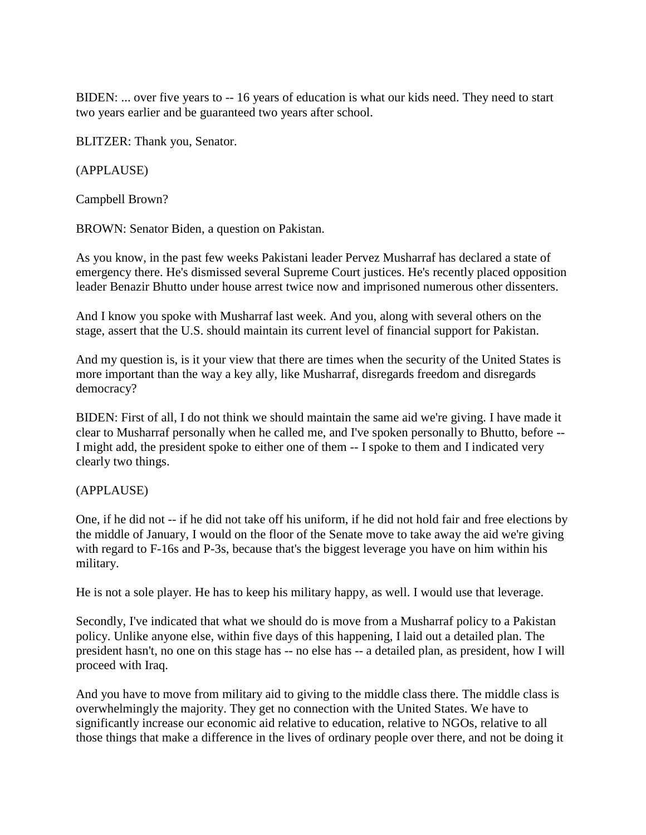BIDEN: ... over five years to -- 16 years of education is what our kids need. They need to start two years earlier and be guaranteed two years after school.

BLITZER: Thank you, Senator.

(APPLAUSE)

Campbell Brown?

BROWN: Senator Biden, a question on Pakistan.

As you know, in the past few weeks Pakistani leader Pervez Musharraf has declared a state of emergency there. He's dismissed several Supreme Court justices. He's recently placed opposition leader Benazir Bhutto under house arrest twice now and imprisoned numerous other dissenters.

And I know you spoke with Musharraf last week. And you, along with several others on the stage, assert that the U.S. should maintain its current level of financial support for Pakistan.

And my question is, is it your view that there are times when the security of the United States is more important than the way a key ally, like Musharraf, disregards freedom and disregards democracy?

BIDEN: First of all, I do not think we should maintain the same aid we're giving. I have made it clear to Musharraf personally when he called me, and I've spoken personally to Bhutto, before -- I might add, the president spoke to either one of them -- I spoke to them and I indicated very clearly two things.

### (APPLAUSE)

One, if he did not -- if he did not take off his uniform, if he did not hold fair and free elections by the middle of January, I would on the floor of the Senate move to take away the aid we're giving with regard to F-16s and P-3s, because that's the biggest leverage you have on him within his military.

He is not a sole player. He has to keep his military happy, as well. I would use that leverage.

Secondly, I've indicated that what we should do is move from a Musharraf policy to a Pakistan policy. Unlike anyone else, within five days of this happening, I laid out a detailed plan. The president hasn't, no one on this stage has -- no else has -- a detailed plan, as president, how I will proceed with Iraq.

And you have to move from military aid to giving to the middle class there. The middle class is overwhelmingly the majority. They get no connection with the United States. We have to significantly increase our economic aid relative to education, relative to NGOs, relative to all those things that make a difference in the lives of ordinary people over there, and not be doing it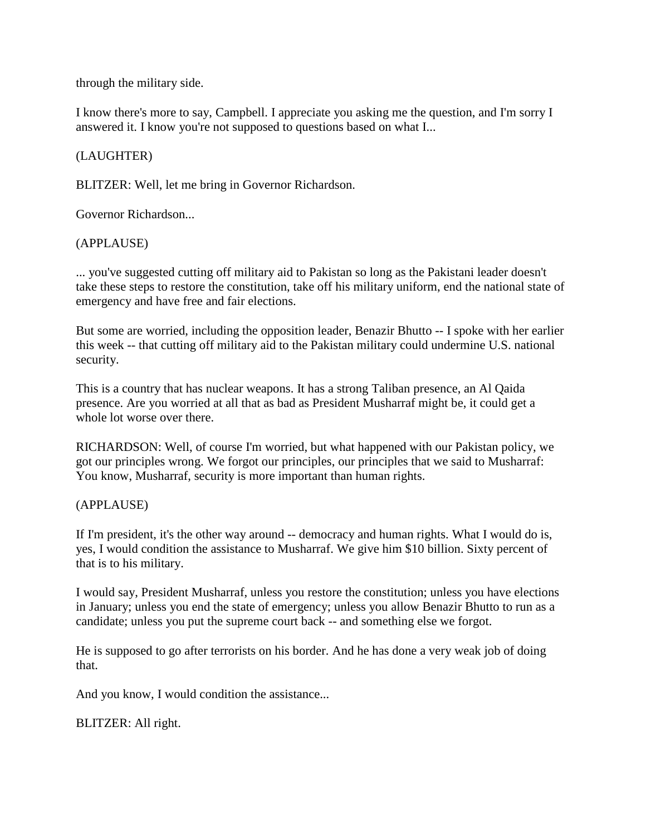through the military side.

I know there's more to say, Campbell. I appreciate you asking me the question, and I'm sorry I answered it. I know you're not supposed to questions based on what I...

# (LAUGHTER)

BLITZER: Well, let me bring in Governor Richardson.

Governor Richardson...

# (APPLAUSE)

... you've suggested cutting off military aid to Pakistan so long as the Pakistani leader doesn't take these steps to restore the constitution, take off his military uniform, end the national state of emergency and have free and fair elections.

But some are worried, including the opposition leader, Benazir Bhutto -- I spoke with her earlier this week -- that cutting off military aid to the Pakistan military could undermine U.S. national security.

This is a country that has nuclear weapons. It has a strong Taliban presence, an Al Qaida presence. Are you worried at all that as bad as President Musharraf might be, it could get a whole lot worse over there.

RICHARDSON: Well, of course I'm worried, but what happened with our Pakistan policy, we got our principles wrong. We forgot our principles, our principles that we said to Musharraf: You know, Musharraf, security is more important than human rights.

# (APPLAUSE)

If I'm president, it's the other way around -- democracy and human rights. What I would do is, yes, I would condition the assistance to Musharraf. We give him \$10 billion. Sixty percent of that is to his military.

I would say, President Musharraf, unless you restore the constitution; unless you have elections in January; unless you end the state of emergency; unless you allow Benazir Bhutto to run as a candidate; unless you put the supreme court back -- and something else we forgot.

He is supposed to go after terrorists on his border. And he has done a very weak job of doing that.

And you know, I would condition the assistance...

BLITZER: All right.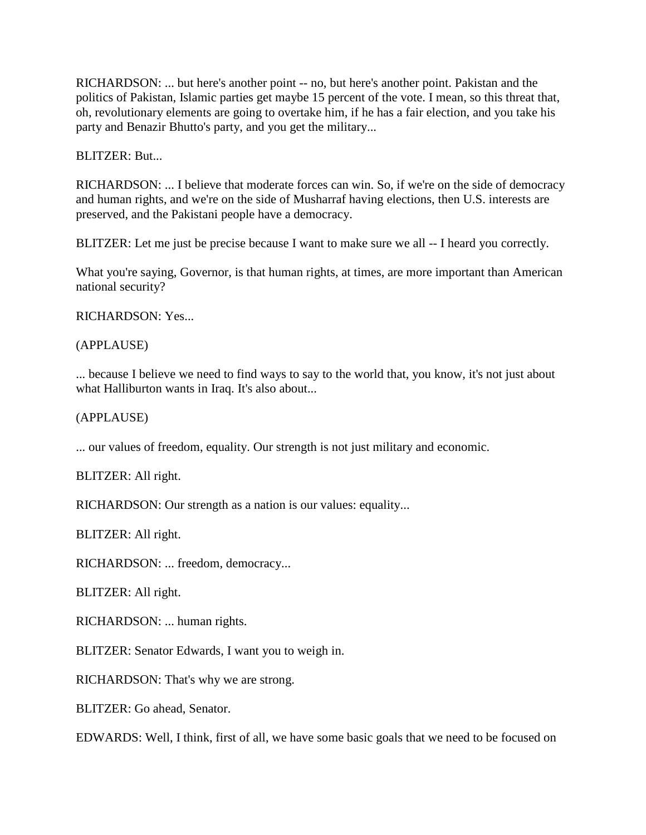RICHARDSON: ... but here's another point -- no, but here's another point. Pakistan and the politics of Pakistan, Islamic parties get maybe 15 percent of the vote. I mean, so this threat that, oh, revolutionary elements are going to overtake him, if he has a fair election, and you take his party and Benazir Bhutto's party, and you get the military...

BLITZER: But...

RICHARDSON: ... I believe that moderate forces can win. So, if we're on the side of democracy and human rights, and we're on the side of Musharraf having elections, then U.S. interests are preserved, and the Pakistani people have a democracy.

BLITZER: Let me just be precise because I want to make sure we all -- I heard you correctly.

What you're saying, Governor, is that human rights, at times, are more important than American national security?

RICHARDSON: Yes...

(APPLAUSE)

... because I believe we need to find ways to say to the world that, you know, it's not just about what Halliburton wants in Iraq. It's also about...

(APPLAUSE)

... our values of freedom, equality. Our strength is not just military and economic.

BLITZER: All right.

RICHARDSON: Our strength as a nation is our values: equality...

BLITZER: All right.

RICHARDSON: ... freedom, democracy...

BLITZER: All right.

RICHARDSON: ... human rights.

BLITZER: Senator Edwards, I want you to weigh in.

RICHARDSON: That's why we are strong.

BLITZER: Go ahead, Senator.

EDWARDS: Well, I think, first of all, we have some basic goals that we need to be focused on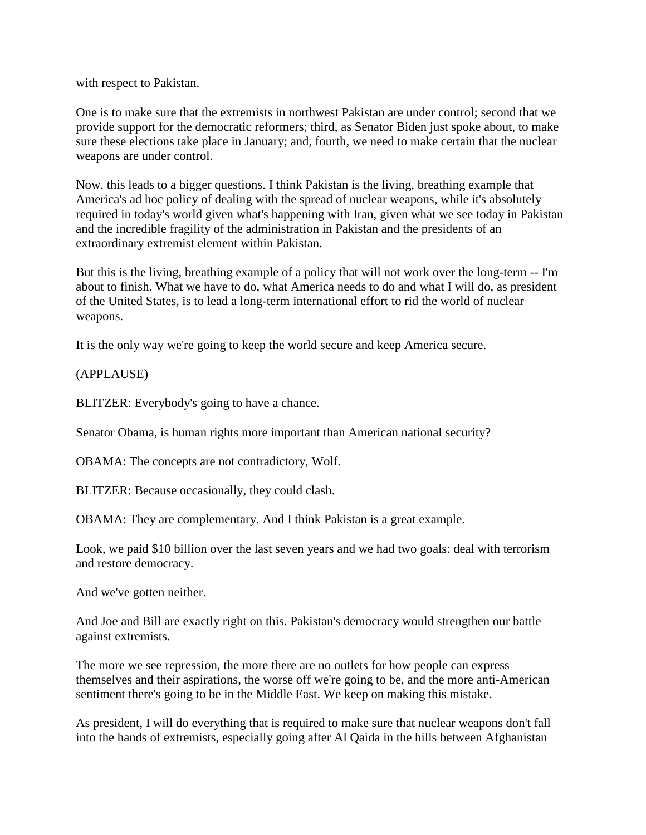with respect to Pakistan.

One is to make sure that the extremists in northwest Pakistan are under control; second that we provide support for the democratic reformers; third, as Senator Biden just spoke about, to make sure these elections take place in January; and, fourth, we need to make certain that the nuclear weapons are under control.

Now, this leads to a bigger questions. I think Pakistan is the living, breathing example that America's ad hoc policy of dealing with the spread of nuclear weapons, while it's absolutely required in today's world given what's happening with Iran, given what we see today in Pakistan and the incredible fragility of the administration in Pakistan and the presidents of an extraordinary extremist element within Pakistan.

But this is the living, breathing example of a policy that will not work over the long-term -- I'm about to finish. What we have to do, what America needs to do and what I will do, as president of the United States, is to lead a long-term international effort to rid the world of nuclear weapons.

It is the only way we're going to keep the world secure and keep America secure.

(APPLAUSE)

BLITZER: Everybody's going to have a chance.

Senator Obama, is human rights more important than American national security?

OBAMA: The concepts are not contradictory, Wolf.

BLITZER: Because occasionally, they could clash.

OBAMA: They are complementary. And I think Pakistan is a great example.

Look, we paid \$10 billion over the last seven years and we had two goals: deal with terrorism and restore democracy.

And we've gotten neither.

And Joe and Bill are exactly right on this. Pakistan's democracy would strengthen our battle against extremists.

The more we see repression, the more there are no outlets for how people can express themselves and their aspirations, the worse off we're going to be, and the more anti-American sentiment there's going to be in the Middle East. We keep on making this mistake.

As president, I will do everything that is required to make sure that nuclear weapons don't fall into the hands of extremists, especially going after Al Qaida in the hills between Afghanistan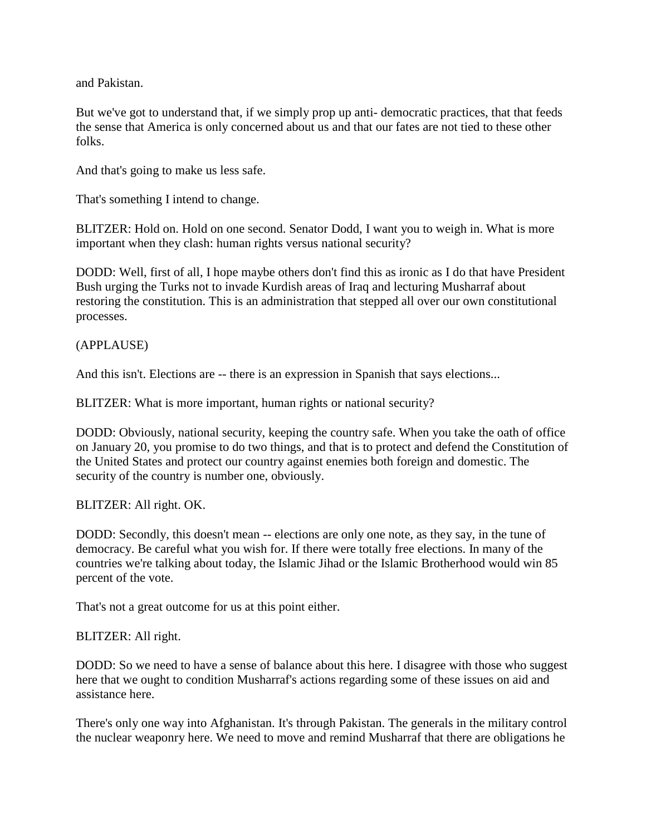and Pakistan.

But we've got to understand that, if we simply prop up anti- democratic practices, that that feeds the sense that America is only concerned about us and that our fates are not tied to these other folks.

And that's going to make us less safe.

That's something I intend to change.

BLITZER: Hold on. Hold on one second. Senator Dodd, I want you to weigh in. What is more important when they clash: human rights versus national security?

DODD: Well, first of all, I hope maybe others don't find this as ironic as I do that have President Bush urging the Turks not to invade Kurdish areas of Iraq and lecturing Musharraf about restoring the constitution. This is an administration that stepped all over our own constitutional processes.

(APPLAUSE)

And this isn't. Elections are -- there is an expression in Spanish that says elections...

BLITZER: What is more important, human rights or national security?

DODD: Obviously, national security, keeping the country safe. When you take the oath of office on January 20, you promise to do two things, and that is to protect and defend the Constitution of the United States and protect our country against enemies both foreign and domestic. The security of the country is number one, obviously.

BLITZER: All right. OK.

DODD: Secondly, this doesn't mean -- elections are only one note, as they say, in the tune of democracy. Be careful what you wish for. If there were totally free elections. In many of the countries we're talking about today, the Islamic Jihad or the Islamic Brotherhood would win 85 percent of the vote.

That's not a great outcome for us at this point either.

BLITZER: All right.

DODD: So we need to have a sense of balance about this here. I disagree with those who suggest here that we ought to condition Musharraf's actions regarding some of these issues on aid and assistance here.

There's only one way into Afghanistan. It's through Pakistan. The generals in the military control the nuclear weaponry here. We need to move and remind Musharraf that there are obligations he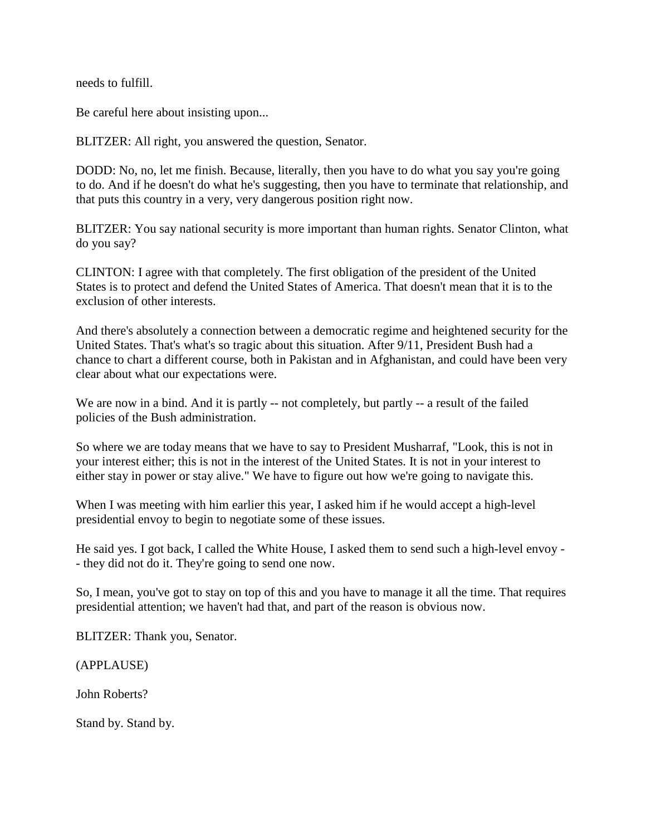needs to fulfill.

Be careful here about insisting upon...

BLITZER: All right, you answered the question, Senator.

DODD: No, no, let me finish. Because, literally, then you have to do what you say you're going to do. And if he doesn't do what he's suggesting, then you have to terminate that relationship, and that puts this country in a very, very dangerous position right now.

BLITZER: You say national security is more important than human rights. Senator Clinton, what do you say?

CLINTON: I agree with that completely. The first obligation of the president of the United States is to protect and defend the United States of America. That doesn't mean that it is to the exclusion of other interests.

And there's absolutely a connection between a democratic regime and heightened security for the United States. That's what's so tragic about this situation. After 9/11, President Bush had a chance to chart a different course, both in Pakistan and in Afghanistan, and could have been very clear about what our expectations were.

We are now in a bind. And it is partly -- not completely, but partly -- a result of the failed policies of the Bush administration.

So where we are today means that we have to say to President Musharraf, "Look, this is not in your interest either; this is not in the interest of the United States. It is not in your interest to either stay in power or stay alive." We have to figure out how we're going to navigate this.

When I was meeting with him earlier this year, I asked him if he would accept a high-level presidential envoy to begin to negotiate some of these issues.

He said yes. I got back, I called the White House, I asked them to send such a high-level envoy - - they did not do it. They're going to send one now.

So, I mean, you've got to stay on top of this and you have to manage it all the time. That requires presidential attention; we haven't had that, and part of the reason is obvious now.

BLITZER: Thank you, Senator.

(APPLAUSE)

John Roberts?

Stand by. Stand by.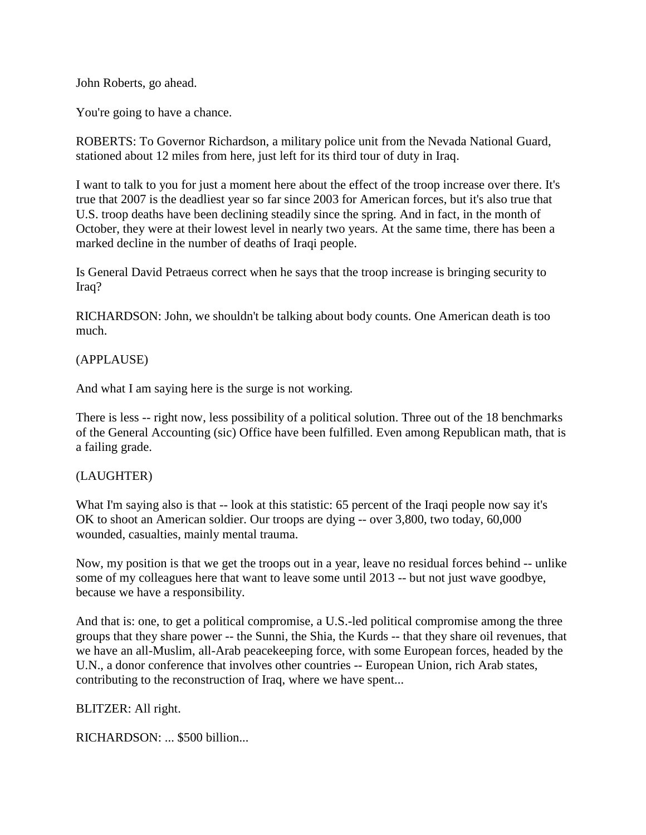John Roberts, go ahead.

You're going to have a chance.

ROBERTS: To Governor Richardson, a military police unit from the Nevada National Guard, stationed about 12 miles from here, just left for its third tour of duty in Iraq.

I want to talk to you for just a moment here about the effect of the troop increase over there. It's true that 2007 is the deadliest year so far since 2003 for American forces, but it's also true that U.S. troop deaths have been declining steadily since the spring. And in fact, in the month of October, they were at their lowest level in nearly two years. At the same time, there has been a marked decline in the number of deaths of Iraqi people.

Is General David Petraeus correct when he says that the troop increase is bringing security to Iraq?

RICHARDSON: John, we shouldn't be talking about body counts. One American death is too much.

## (APPLAUSE)

And what I am saying here is the surge is not working.

There is less -- right now, less possibility of a political solution. Three out of the 18 benchmarks of the General Accounting (sic) Office have been fulfilled. Even among Republican math, that is a failing grade.

### (LAUGHTER)

What I'm saying also is that -- look at this statistic: 65 percent of the Iraqi people now say it's OK to shoot an American soldier. Our troops are dying -- over 3,800, two today, 60,000 wounded, casualties, mainly mental trauma.

Now, my position is that we get the troops out in a year, leave no residual forces behind -- unlike some of my colleagues here that want to leave some until 2013 -- but not just wave goodbye, because we have a responsibility.

And that is: one, to get a political compromise, a U.S.-led political compromise among the three groups that they share power -- the Sunni, the Shia, the Kurds -- that they share oil revenues, that we have an all-Muslim, all-Arab peacekeeping force, with some European forces, headed by the U.N., a donor conference that involves other countries -- European Union, rich Arab states, contributing to the reconstruction of Iraq, where we have spent...

BLITZER: All right.

RICHARDSON: ... \$500 billion...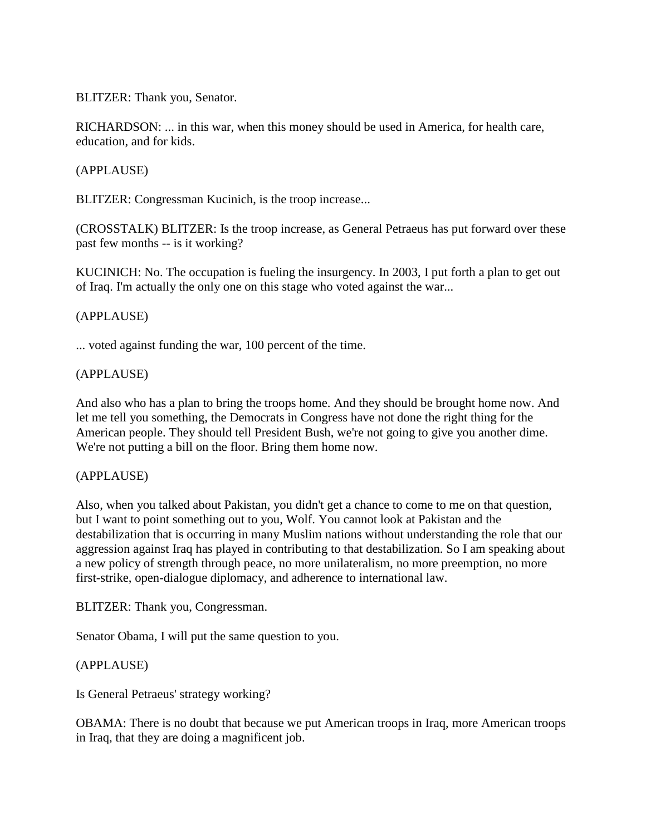BLITZER: Thank you, Senator.

RICHARDSON: ... in this war, when this money should be used in America, for health care, education, and for kids.

### (APPLAUSE)

BLITZER: Congressman Kucinich, is the troop increase...

(CROSSTALK) BLITZER: Is the troop increase, as General Petraeus has put forward over these past few months -- is it working?

KUCINICH: No. The occupation is fueling the insurgency. In 2003, I put forth a plan to get out of Iraq. I'm actually the only one on this stage who voted against the war...

## (APPLAUSE)

... voted against funding the war, 100 percent of the time.

### (APPLAUSE)

And also who has a plan to bring the troops home. And they should be brought home now. And let me tell you something, the Democrats in Congress have not done the right thing for the American people. They should tell President Bush, we're not going to give you another dime. We're not putting a bill on the floor. Bring them home now.

### (APPLAUSE)

Also, when you talked about Pakistan, you didn't get a chance to come to me on that question, but I want to point something out to you, Wolf. You cannot look at Pakistan and the destabilization that is occurring in many Muslim nations without understanding the role that our aggression against Iraq has played in contributing to that destabilization. So I am speaking about a new policy of strength through peace, no more unilateralism, no more preemption, no more first-strike, open-dialogue diplomacy, and adherence to international law.

BLITZER: Thank you, Congressman.

Senator Obama, I will put the same question to you.

### (APPLAUSE)

Is General Petraeus' strategy working?

OBAMA: There is no doubt that because we put American troops in Iraq, more American troops in Iraq, that they are doing a magnificent job.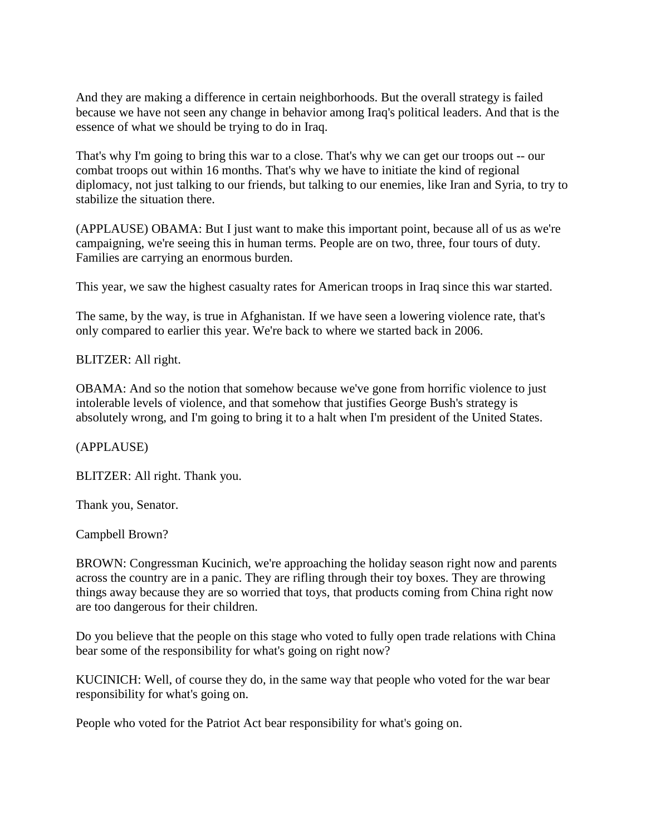And they are making a difference in certain neighborhoods. But the overall strategy is failed because we have not seen any change in behavior among Iraq's political leaders. And that is the essence of what we should be trying to do in Iraq.

That's why I'm going to bring this war to a close. That's why we can get our troops out -- our combat troops out within 16 months. That's why we have to initiate the kind of regional diplomacy, not just talking to our friends, but talking to our enemies, like Iran and Syria, to try to stabilize the situation there.

(APPLAUSE) OBAMA: But I just want to make this important point, because all of us as we're campaigning, we're seeing this in human terms. People are on two, three, four tours of duty. Families are carrying an enormous burden.

This year, we saw the highest casualty rates for American troops in Iraq since this war started.

The same, by the way, is true in Afghanistan. If we have seen a lowering violence rate, that's only compared to earlier this year. We're back to where we started back in 2006.

BLITZER: All right.

OBAMA: And so the notion that somehow because we've gone from horrific violence to just intolerable levels of violence, and that somehow that justifies George Bush's strategy is absolutely wrong, and I'm going to bring it to a halt when I'm president of the United States.

(APPLAUSE)

BLITZER: All right. Thank you.

Thank you, Senator.

Campbell Brown?

BROWN: Congressman Kucinich, we're approaching the holiday season right now and parents across the country are in a panic. They are rifling through their toy boxes. They are throwing things away because they are so worried that toys, that products coming from China right now are too dangerous for their children.

Do you believe that the people on this stage who voted to fully open trade relations with China bear some of the responsibility for what's going on right now?

KUCINICH: Well, of course they do, in the same way that people who voted for the war bear responsibility for what's going on.

People who voted for the Patriot Act bear responsibility for what's going on.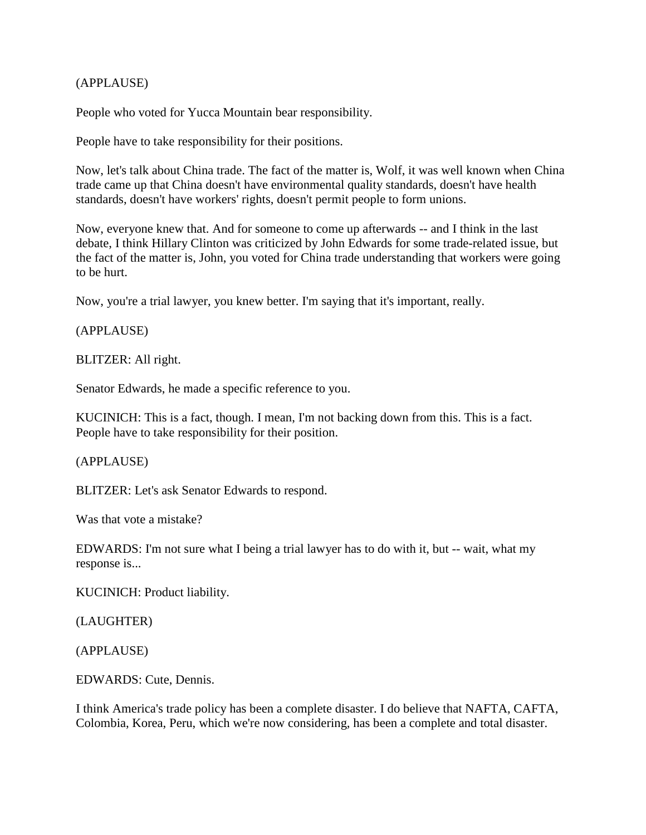### (APPLAUSE)

People who voted for Yucca Mountain bear responsibility.

People have to take responsibility for their positions.

Now, let's talk about China trade. The fact of the matter is, Wolf, it was well known when China trade came up that China doesn't have environmental quality standards, doesn't have health standards, doesn't have workers' rights, doesn't permit people to form unions.

Now, everyone knew that. And for someone to come up afterwards -- and I think in the last debate, I think Hillary Clinton was criticized by John Edwards for some trade-related issue, but the fact of the matter is, John, you voted for China trade understanding that workers were going to be hurt.

Now, you're a trial lawyer, you knew better. I'm saying that it's important, really.

## (APPLAUSE)

BLITZER: All right.

Senator Edwards, he made a specific reference to you.

KUCINICH: This is a fact, though. I mean, I'm not backing down from this. This is a fact. People have to take responsibility for their position.

(APPLAUSE)

BLITZER: Let's ask Senator Edwards to respond.

Was that vote a mistake?

EDWARDS: I'm not sure what I being a trial lawyer has to do with it, but -- wait, what my response is...

KUCINICH: Product liability.

(LAUGHTER)

(APPLAUSE)

EDWARDS: Cute, Dennis.

I think America's trade policy has been a complete disaster. I do believe that NAFTA, CAFTA, Colombia, Korea, Peru, which we're now considering, has been a complete and total disaster.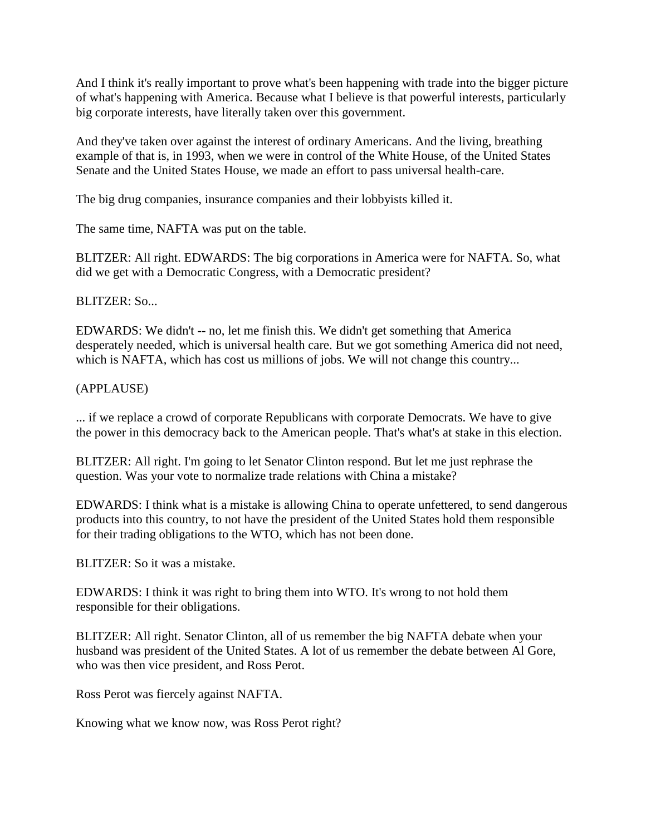And I think it's really important to prove what's been happening with trade into the bigger picture of what's happening with America. Because what I believe is that powerful interests, particularly big corporate interests, have literally taken over this government.

And they've taken over against the interest of ordinary Americans. And the living, breathing example of that is, in 1993, when we were in control of the White House, of the United States Senate and the United States House, we made an effort to pass universal health-care.

The big drug companies, insurance companies and their lobbyists killed it.

The same time, NAFTA was put on the table.

BLITZER: All right. EDWARDS: The big corporations in America were for NAFTA. So, what did we get with a Democratic Congress, with a Democratic president?

BLITZER: So...

EDWARDS: We didn't -- no, let me finish this. We didn't get something that America desperately needed, which is universal health care. But we got something America did not need, which is NAFTA, which has cost us millions of jobs. We will not change this country...

## (APPLAUSE)

... if we replace a crowd of corporate Republicans with corporate Democrats. We have to give the power in this democracy back to the American people. That's what's at stake in this election.

BLITZER: All right. I'm going to let Senator Clinton respond. But let me just rephrase the question. Was your vote to normalize trade relations with China a mistake?

EDWARDS: I think what is a mistake is allowing China to operate unfettered, to send dangerous products into this country, to not have the president of the United States hold them responsible for their trading obligations to the WTO, which has not been done.

BLITZER: So it was a mistake.

EDWARDS: I think it was right to bring them into WTO. It's wrong to not hold them responsible for their obligations.

BLITZER: All right. Senator Clinton, all of us remember the big NAFTA debate when your husband was president of the United States. A lot of us remember the debate between Al Gore, who was then vice president, and Ross Perot.

Ross Perot was fiercely against NAFTA.

Knowing what we know now, was Ross Perot right?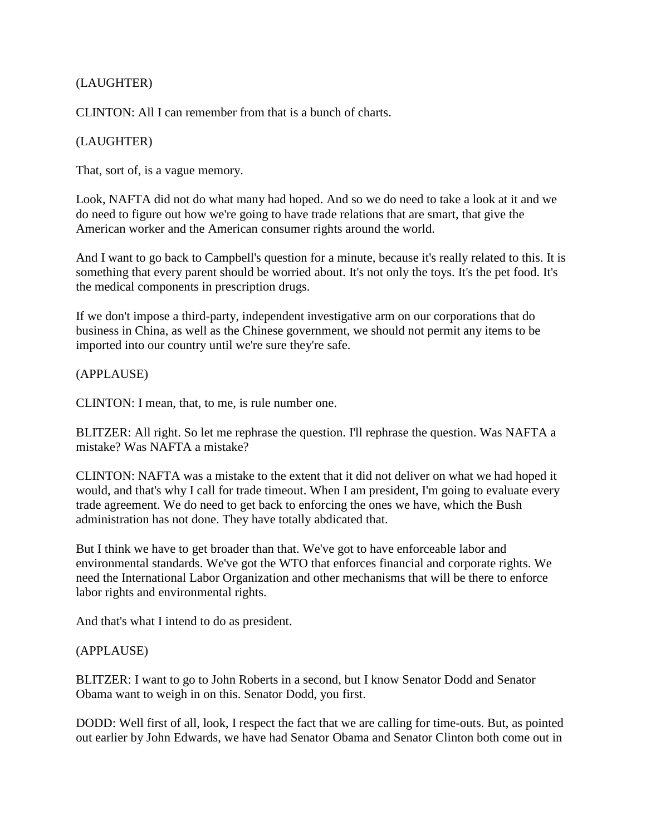# (LAUGHTER)

CLINTON: All I can remember from that is a bunch of charts.

### (LAUGHTER)

That, sort of, is a vague memory.

Look, NAFTA did not do what many had hoped. And so we do need to take a look at it and we do need to figure out how we're going to have trade relations that are smart, that give the American worker and the American consumer rights around the world.

And I want to go back to Campbell's question for a minute, because it's really related to this. It is something that every parent should be worried about. It's not only the toys. It's the pet food. It's the medical components in prescription drugs.

If we don't impose a third-party, independent investigative arm on our corporations that do business in China, as well as the Chinese government, we should not permit any items to be imported into our country until we're sure they're safe.

### (APPLAUSE)

CLINTON: I mean, that, to me, is rule number one.

BLITZER: All right. So let me rephrase the question. I'll rephrase the question. Was NAFTA a mistake? Was NAFTA a mistake?

CLINTON: NAFTA was a mistake to the extent that it did not deliver on what we had hoped it would, and that's why I call for trade timeout. When I am president, I'm going to evaluate every trade agreement. We do need to get back to enforcing the ones we have, which the Bush administration has not done. They have totally abdicated that.

But I think we have to get broader than that. We've got to have enforceable labor and environmental standards. We've got the WTO that enforces financial and corporate rights. We need the International Labor Organization and other mechanisms that will be there to enforce labor rights and environmental rights.

And that's what I intend to do as president.

### (APPLAUSE)

BLITZER: I want to go to John Roberts in a second, but I know Senator Dodd and Senator Obama want to weigh in on this. Senator Dodd, you first.

DODD: Well first of all, look, I respect the fact that we are calling for time-outs. But, as pointed out earlier by John Edwards, we have had Senator Obama and Senator Clinton both come out in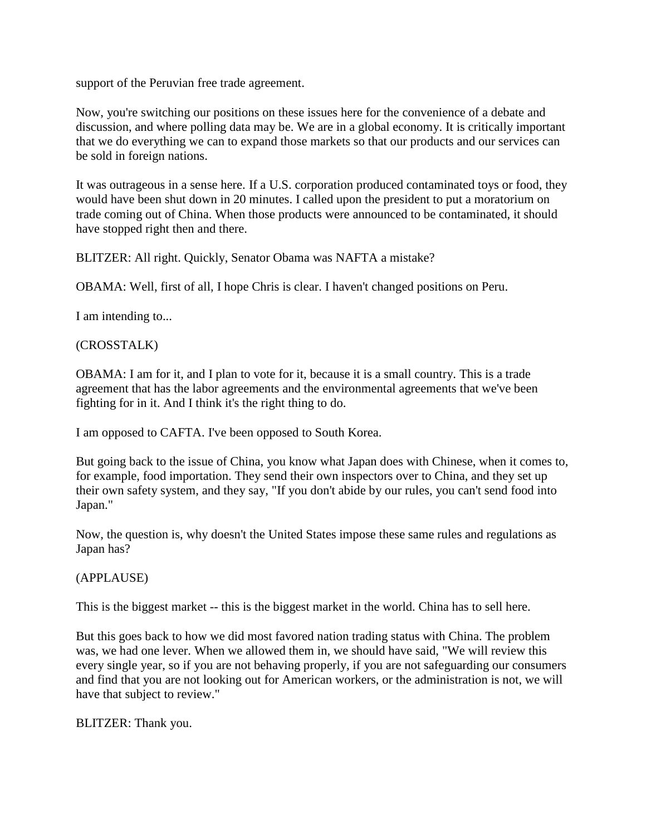support of the Peruvian free trade agreement.

Now, you're switching our positions on these issues here for the convenience of a debate and discussion, and where polling data may be. We are in a global economy. It is critically important that we do everything we can to expand those markets so that our products and our services can be sold in foreign nations.

It was outrageous in a sense here. If a U.S. corporation produced contaminated toys or food, they would have been shut down in 20 minutes. I called upon the president to put a moratorium on trade coming out of China. When those products were announced to be contaminated, it should have stopped right then and there.

BLITZER: All right. Quickly, Senator Obama was NAFTA a mistake?

OBAMA: Well, first of all, I hope Chris is clear. I haven't changed positions on Peru.

I am intending to...

(CROSSTALK)

OBAMA: I am for it, and I plan to vote for it, because it is a small country. This is a trade agreement that has the labor agreements and the environmental agreements that we've been fighting for in it. And I think it's the right thing to do.

I am opposed to CAFTA. I've been opposed to South Korea.

But going back to the issue of China, you know what Japan does with Chinese, when it comes to, for example, food importation. They send their own inspectors over to China, and they set up their own safety system, and they say, "If you don't abide by our rules, you can't send food into Japan."

Now, the question is, why doesn't the United States impose these same rules and regulations as Japan has?

(APPLAUSE)

This is the biggest market -- this is the biggest market in the world. China has to sell here.

But this goes back to how we did most favored nation trading status with China. The problem was, we had one lever. When we allowed them in, we should have said, "We will review this every single year, so if you are not behaving properly, if you are not safeguarding our consumers and find that you are not looking out for American workers, or the administration is not, we will have that subject to review."

BLITZER: Thank you.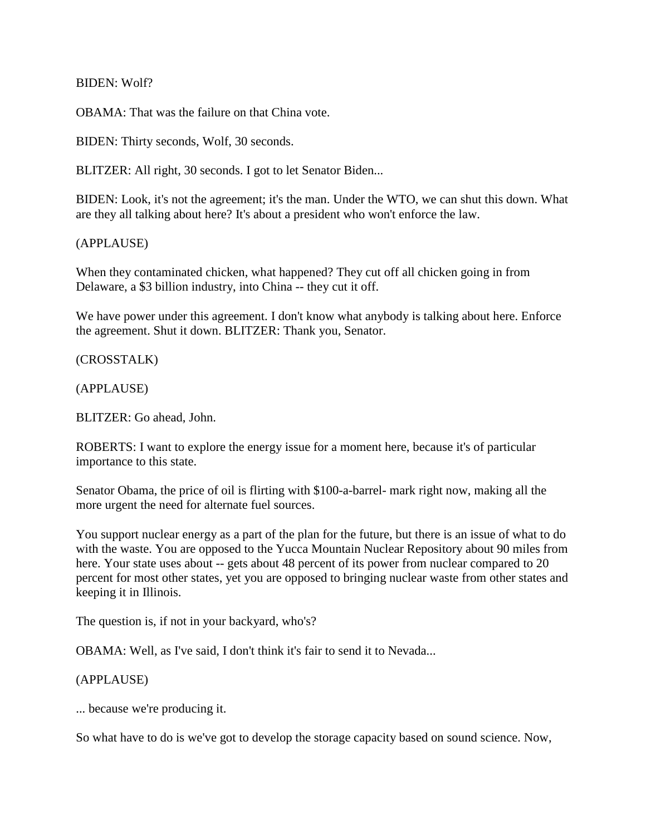BIDEN: Wolf?

OBAMA: That was the failure on that China vote.

BIDEN: Thirty seconds, Wolf, 30 seconds.

BLITZER: All right, 30 seconds. I got to let Senator Biden...

BIDEN: Look, it's not the agreement; it's the man. Under the WTO, we can shut this down. What are they all talking about here? It's about a president who won't enforce the law.

(APPLAUSE)

When they contaminated chicken, what happened? They cut off all chicken going in from Delaware, a \$3 billion industry, into China -- they cut it off.

We have power under this agreement. I don't know what anybody is talking about here. Enforce the agreement. Shut it down. BLITZER: Thank you, Senator.

(CROSSTALK)

(APPLAUSE)

BLITZER: Go ahead, John.

ROBERTS: I want to explore the energy issue for a moment here, because it's of particular importance to this state.

Senator Obama, the price of oil is flirting with \$100-a-barrel- mark right now, making all the more urgent the need for alternate fuel sources.

You support nuclear energy as a part of the plan for the future, but there is an issue of what to do with the waste. You are opposed to the Yucca Mountain Nuclear Repository about 90 miles from here. Your state uses about -- gets about 48 percent of its power from nuclear compared to 20 percent for most other states, yet you are opposed to bringing nuclear waste from other states and keeping it in Illinois.

The question is, if not in your backyard, who's?

OBAMA: Well, as I've said, I don't think it's fair to send it to Nevada...

### (APPLAUSE)

... because we're producing it.

So what have to do is we've got to develop the storage capacity based on sound science. Now,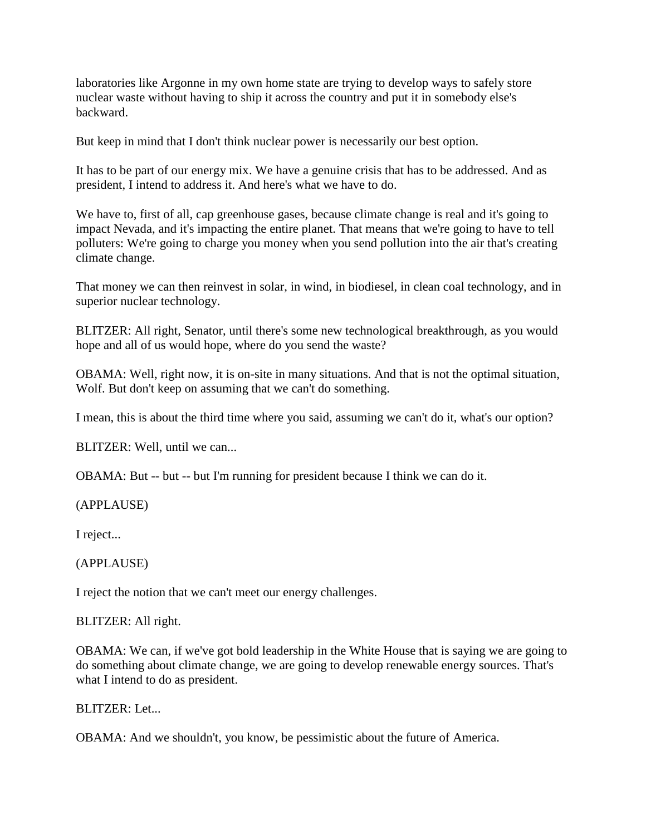laboratories like Argonne in my own home state are trying to develop ways to safely store nuclear waste without having to ship it across the country and put it in somebody else's backward.

But keep in mind that I don't think nuclear power is necessarily our best option.

It has to be part of our energy mix. We have a genuine crisis that has to be addressed. And as president, I intend to address it. And here's what we have to do.

We have to, first of all, cap greenhouse gases, because climate change is real and it's going to impact Nevada, and it's impacting the entire planet. That means that we're going to have to tell polluters: We're going to charge you money when you send pollution into the air that's creating climate change.

That money we can then reinvest in solar, in wind, in biodiesel, in clean coal technology, and in superior nuclear technology.

BLITZER: All right, Senator, until there's some new technological breakthrough, as you would hope and all of us would hope, where do you send the waste?

OBAMA: Well, right now, it is on-site in many situations. And that is not the optimal situation, Wolf. But don't keep on assuming that we can't do something.

I mean, this is about the third time where you said, assuming we can't do it, what's our option?

BLITZER: Well, until we can...

OBAMA: But -- but -- but I'm running for president because I think we can do it.

(APPLAUSE)

I reject...

(APPLAUSE)

I reject the notion that we can't meet our energy challenges.

BLITZER: All right.

OBAMA: We can, if we've got bold leadership in the White House that is saying we are going to do something about climate change, we are going to develop renewable energy sources. That's what I intend to do as president.

BLITZER: Let...

OBAMA: And we shouldn't, you know, be pessimistic about the future of America.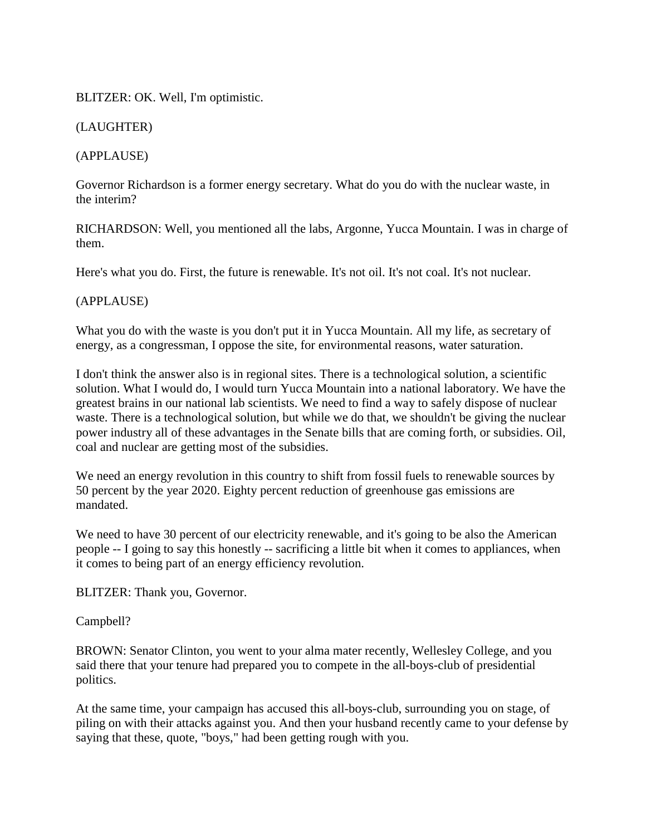## BLITZER: OK. Well, I'm optimistic.

### (LAUGHTER)

## (APPLAUSE)

Governor Richardson is a former energy secretary. What do you do with the nuclear waste, in the interim?

RICHARDSON: Well, you mentioned all the labs, Argonne, Yucca Mountain. I was in charge of them.

Here's what you do. First, the future is renewable. It's not oil. It's not coal. It's not nuclear.

### (APPLAUSE)

What you do with the waste is you don't put it in Yucca Mountain. All my life, as secretary of energy, as a congressman, I oppose the site, for environmental reasons, water saturation.

I don't think the answer also is in regional sites. There is a technological solution, a scientific solution. What I would do, I would turn Yucca Mountain into a national laboratory. We have the greatest brains in our national lab scientists. We need to find a way to safely dispose of nuclear waste. There is a technological solution, but while we do that, we shouldn't be giving the nuclear power industry all of these advantages in the Senate bills that are coming forth, or subsidies. Oil, coal and nuclear are getting most of the subsidies.

We need an energy revolution in this country to shift from fossil fuels to renewable sources by 50 percent by the year 2020. Eighty percent reduction of greenhouse gas emissions are mandated.

We need to have 30 percent of our electricity renewable, and it's going to be also the American people -- I going to say this honestly -- sacrificing a little bit when it comes to appliances, when it comes to being part of an energy efficiency revolution.

BLITZER: Thank you, Governor.

# Campbell?

BROWN: Senator Clinton, you went to your alma mater recently, Wellesley College, and you said there that your tenure had prepared you to compete in the all-boys-club of presidential politics.

At the same time, your campaign has accused this all-boys-club, surrounding you on stage, of piling on with their attacks against you. And then your husband recently came to your defense by saying that these, quote, "boys," had been getting rough with you.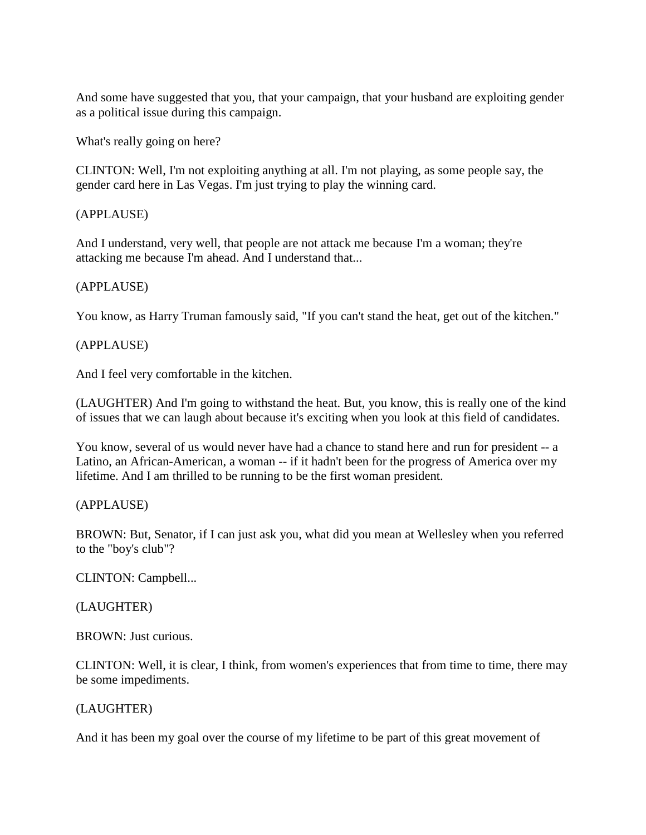And some have suggested that you, that your campaign, that your husband are exploiting gender as a political issue during this campaign.

What's really going on here?

CLINTON: Well, I'm not exploiting anything at all. I'm not playing, as some people say, the gender card here in Las Vegas. I'm just trying to play the winning card.

(APPLAUSE)

And I understand, very well, that people are not attack me because I'm a woman; they're attacking me because I'm ahead. And I understand that...

## (APPLAUSE)

You know, as Harry Truman famously said, "If you can't stand the heat, get out of the kitchen."

### (APPLAUSE)

And I feel very comfortable in the kitchen.

(LAUGHTER) And I'm going to withstand the heat. But, you know, this is really one of the kind of issues that we can laugh about because it's exciting when you look at this field of candidates.

You know, several of us would never have had a chance to stand here and run for president -- a Latino, an African-American, a woman -- if it hadn't been for the progress of America over my lifetime. And I am thrilled to be running to be the first woman president.

### (APPLAUSE)

BROWN: But, Senator, if I can just ask you, what did you mean at Wellesley when you referred to the "boy's club"?

CLINTON: Campbell...

### (LAUGHTER)

BROWN: Just curious.

CLINTON: Well, it is clear, I think, from women's experiences that from time to time, there may be some impediments.

### (LAUGHTER)

And it has been my goal over the course of my lifetime to be part of this great movement of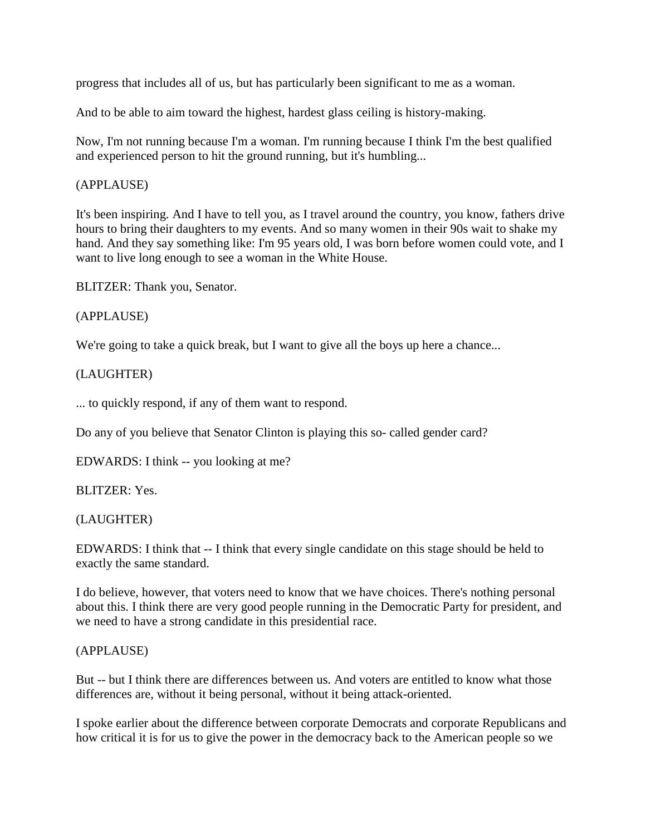progress that includes all of us, but has particularly been significant to me as a woman.

And to be able to aim toward the highest, hardest glass ceiling is history-making.

Now, I'm not running because I'm a woman. I'm running because I think I'm the best qualified and experienced person to hit the ground running, but it's humbling...

## (APPLAUSE)

It's been inspiring. And I have to tell you, as I travel around the country, you know, fathers drive hours to bring their daughters to my events. And so many women in their 90s wait to shake my hand. And they say something like: I'm 95 years old, I was born before women could vote, and I want to live long enough to see a woman in the White House.

BLITZER: Thank you, Senator.

## (APPLAUSE)

We're going to take a quick break, but I want to give all the boys up here a chance...

# (LAUGHTER)

... to quickly respond, if any of them want to respond.

Do any of you believe that Senator Clinton is playing this so- called gender card?

EDWARDS: I think -- you looking at me?

BLITZER: Yes.

(LAUGHTER)

EDWARDS: I think that -- I think that every single candidate on this stage should be held to exactly the same standard.

I do believe, however, that voters need to know that we have choices. There's nothing personal about this. I think there are very good people running in the Democratic Party for president, and we need to have a strong candidate in this presidential race.

### (APPLAUSE)

But -- but I think there are differences between us. And voters are entitled to know what those differences are, without it being personal, without it being attack-oriented.

I spoke earlier about the difference between corporate Democrats and corporate Republicans and how critical it is for us to give the power in the democracy back to the American people so we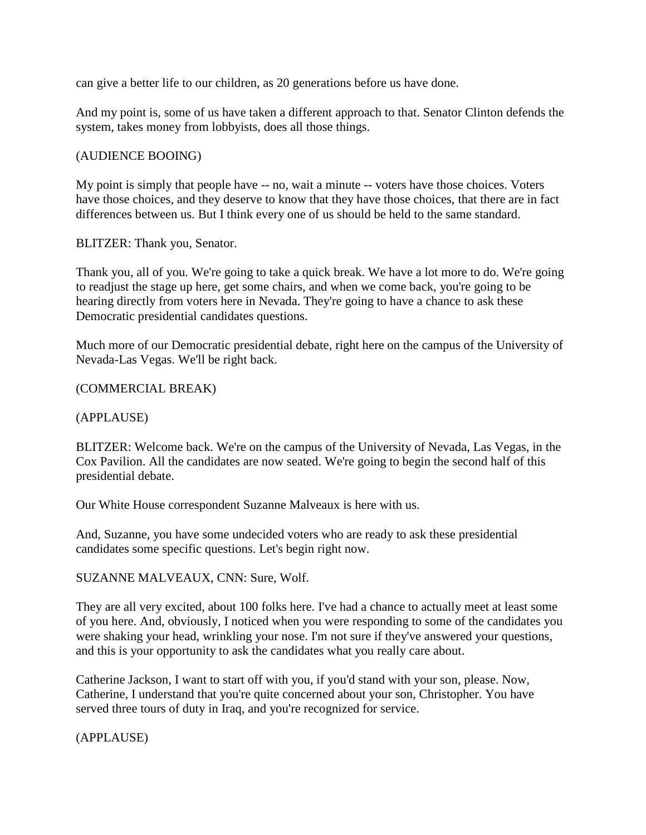can give a better life to our children, as 20 generations before us have done.

And my point is, some of us have taken a different approach to that. Senator Clinton defends the system, takes money from lobbyists, does all those things.

### (AUDIENCE BOOING)

My point is simply that people have -- no, wait a minute -- voters have those choices. Voters have those choices, and they deserve to know that they have those choices, that there are in fact differences between us. But I think every one of us should be held to the same standard.

BLITZER: Thank you, Senator.

Thank you, all of you. We're going to take a quick break. We have a lot more to do. We're going to readjust the stage up here, get some chairs, and when we come back, you're going to be hearing directly from voters here in Nevada. They're going to have a chance to ask these Democratic presidential candidates questions.

Much more of our Democratic presidential debate, right here on the campus of the University of Nevada-Las Vegas. We'll be right back.

## (COMMERCIAL BREAK)

### (APPLAUSE)

BLITZER: Welcome back. We're on the campus of the University of Nevada, Las Vegas, in the Cox Pavilion. All the candidates are now seated. We're going to begin the second half of this presidential debate.

Our White House correspondent Suzanne Malveaux is here with us.

And, Suzanne, you have some undecided voters who are ready to ask these presidential candidates some specific questions. Let's begin right now.

### SUZANNE MALVEAUX, CNN: Sure, Wolf.

They are all very excited, about 100 folks here. I've had a chance to actually meet at least some of you here. And, obviously, I noticed when you were responding to some of the candidates you were shaking your head, wrinkling your nose. I'm not sure if they've answered your questions, and this is your opportunity to ask the candidates what you really care about.

Catherine Jackson, I want to start off with you, if you'd stand with your son, please. Now, Catherine, I understand that you're quite concerned about your son, Christopher. You have served three tours of duty in Iraq, and you're recognized for service.

(APPLAUSE)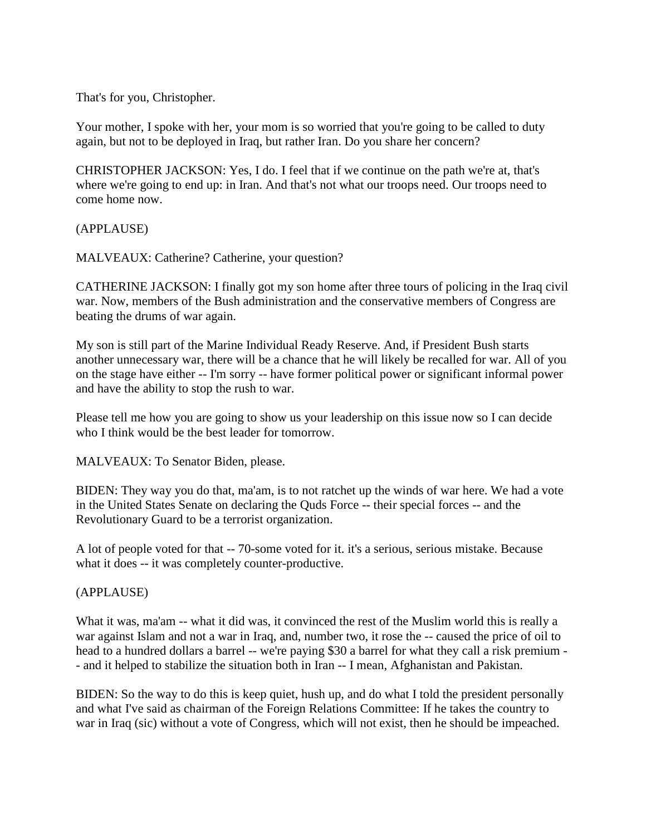That's for you, Christopher.

Your mother, I spoke with her, your mom is so worried that you're going to be called to duty again, but not to be deployed in Iraq, but rather Iran. Do you share her concern?

CHRISTOPHER JACKSON: Yes, I do. I feel that if we continue on the path we're at, that's where we're going to end up: in Iran. And that's not what our troops need. Our troops need to come home now.

(APPLAUSE)

MALVEAUX: Catherine? Catherine, your question?

CATHERINE JACKSON: I finally got my son home after three tours of policing in the Iraq civil war. Now, members of the Bush administration and the conservative members of Congress are beating the drums of war again.

My son is still part of the Marine Individual Ready Reserve. And, if President Bush starts another unnecessary war, there will be a chance that he will likely be recalled for war. All of you on the stage have either -- I'm sorry -- have former political power or significant informal power and have the ability to stop the rush to war.

Please tell me how you are going to show us your leadership on this issue now so I can decide who I think would be the best leader for tomorrow.

MALVEAUX: To Senator Biden, please.

BIDEN: They way you do that, ma'am, is to not ratchet up the winds of war here. We had a vote in the United States Senate on declaring the Quds Force -- their special forces -- and the Revolutionary Guard to be a terrorist organization.

A lot of people voted for that -- 70-some voted for it. it's a serious, serious mistake. Because what it does -- it was completely counter-productive.

### (APPLAUSE)

What it was, ma'am -- what it did was, it convinced the rest of the Muslim world this is really a war against Islam and not a war in Iraq, and, number two, it rose the -- caused the price of oil to head to a hundred dollars a barrel -- we're paying \$30 a barrel for what they call a risk premium - - and it helped to stabilize the situation both in Iran -- I mean, Afghanistan and Pakistan.

BIDEN: So the way to do this is keep quiet, hush up, and do what I told the president personally and what I've said as chairman of the Foreign Relations Committee: If he takes the country to war in Iraq (sic) without a vote of Congress, which will not exist, then he should be impeached.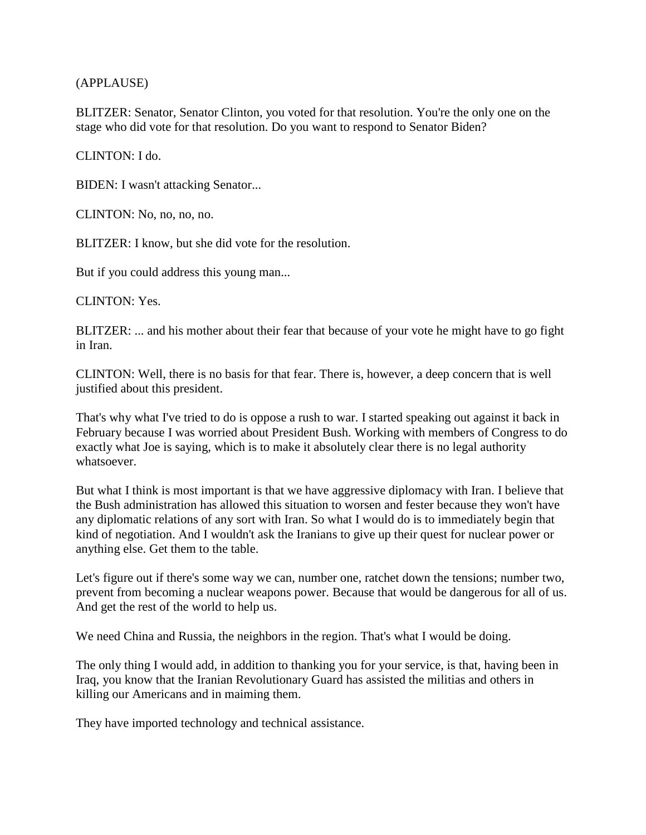(APPLAUSE)

BLITZER: Senator, Senator Clinton, you voted for that resolution. You're the only one on the stage who did vote for that resolution. Do you want to respond to Senator Biden?

CLINTON: I do.

BIDEN: I wasn't attacking Senator...

CLINTON: No, no, no, no.

BLITZER: I know, but she did vote for the resolution.

But if you could address this young man...

CLINTON: Yes.

BLITZER: ... and his mother about their fear that because of your vote he might have to go fight in Iran.

CLINTON: Well, there is no basis for that fear. There is, however, a deep concern that is well justified about this president.

That's why what I've tried to do is oppose a rush to war. I started speaking out against it back in February because I was worried about President Bush. Working with members of Congress to do exactly what Joe is saying, which is to make it absolutely clear there is no legal authority whatsoever.

But what I think is most important is that we have aggressive diplomacy with Iran. I believe that the Bush administration has allowed this situation to worsen and fester because they won't have any diplomatic relations of any sort with Iran. So what I would do is to immediately begin that kind of negotiation. And I wouldn't ask the Iranians to give up their quest for nuclear power or anything else. Get them to the table.

Let's figure out if there's some way we can, number one, ratchet down the tensions; number two, prevent from becoming a nuclear weapons power. Because that would be dangerous for all of us. And get the rest of the world to help us.

We need China and Russia, the neighbors in the region. That's what I would be doing.

The only thing I would add, in addition to thanking you for your service, is that, having been in Iraq, you know that the Iranian Revolutionary Guard has assisted the militias and others in killing our Americans and in maiming them.

They have imported technology and technical assistance.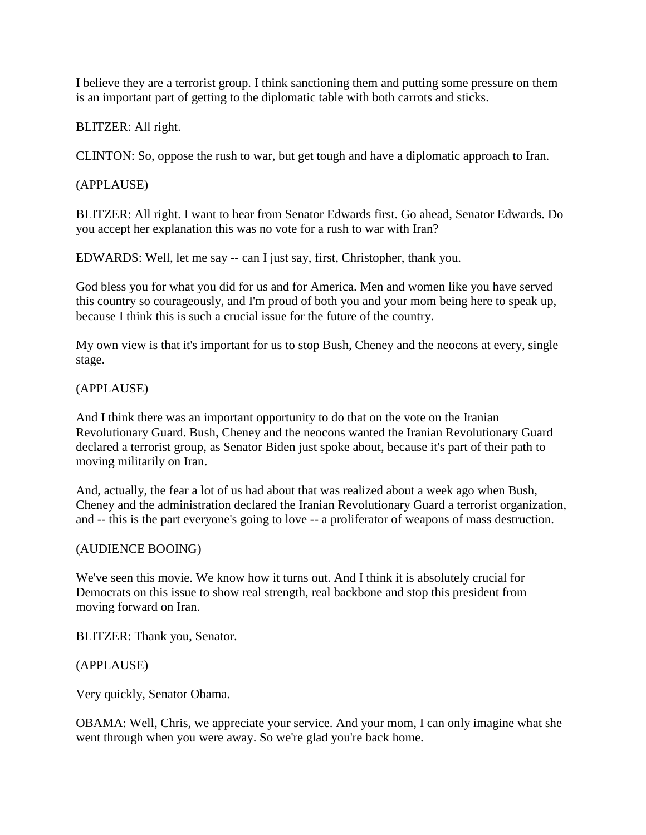I believe they are a terrorist group. I think sanctioning them and putting some pressure on them is an important part of getting to the diplomatic table with both carrots and sticks.

BLITZER: All right.

CLINTON: So, oppose the rush to war, but get tough and have a diplomatic approach to Iran.

(APPLAUSE)

BLITZER: All right. I want to hear from Senator Edwards first. Go ahead, Senator Edwards. Do you accept her explanation this was no vote for a rush to war with Iran?

EDWARDS: Well, let me say -- can I just say, first, Christopher, thank you.

God bless you for what you did for us and for America. Men and women like you have served this country so courageously, and I'm proud of both you and your mom being here to speak up, because I think this is such a crucial issue for the future of the country.

My own view is that it's important for us to stop Bush, Cheney and the neocons at every, single stage.

## (APPLAUSE)

And I think there was an important opportunity to do that on the vote on the Iranian Revolutionary Guard. Bush, Cheney and the neocons wanted the Iranian Revolutionary Guard declared a terrorist group, as Senator Biden just spoke about, because it's part of their path to moving militarily on Iran.

And, actually, the fear a lot of us had about that was realized about a week ago when Bush, Cheney and the administration declared the Iranian Revolutionary Guard a terrorist organization, and -- this is the part everyone's going to love -- a proliferator of weapons of mass destruction.

### (AUDIENCE BOOING)

We've seen this movie. We know how it turns out. And I think it is absolutely crucial for Democrats on this issue to show real strength, real backbone and stop this president from moving forward on Iran.

BLITZER: Thank you, Senator.

# (APPLAUSE)

Very quickly, Senator Obama.

OBAMA: Well, Chris, we appreciate your service. And your mom, I can only imagine what she went through when you were away. So we're glad you're back home.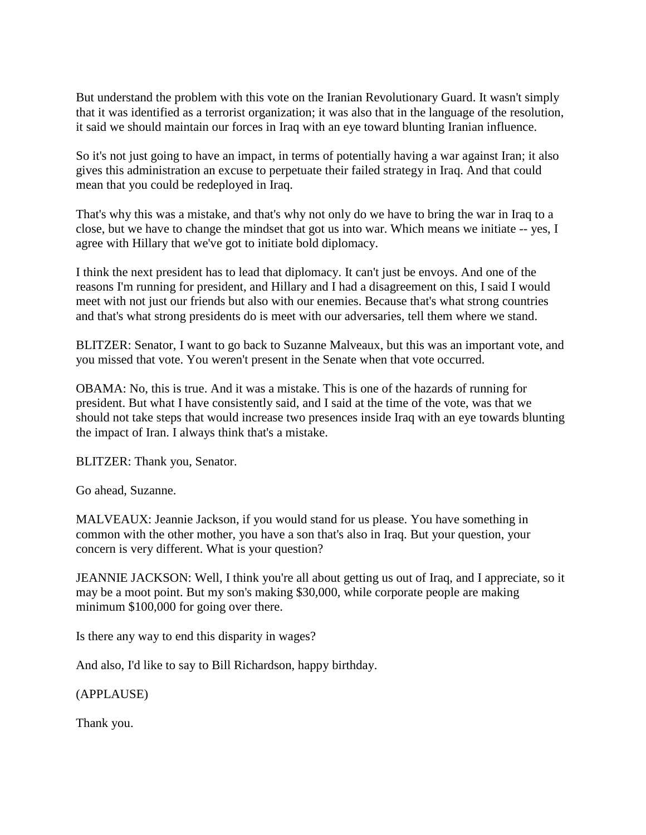But understand the problem with this vote on the Iranian Revolutionary Guard. It wasn't simply that it was identified as a terrorist organization; it was also that in the language of the resolution, it said we should maintain our forces in Iraq with an eye toward blunting Iranian influence.

So it's not just going to have an impact, in terms of potentially having a war against Iran; it also gives this administration an excuse to perpetuate their failed strategy in Iraq. And that could mean that you could be redeployed in Iraq.

That's why this was a mistake, and that's why not only do we have to bring the war in Iraq to a close, but we have to change the mindset that got us into war. Which means we initiate -- yes, I agree with Hillary that we've got to initiate bold diplomacy.

I think the next president has to lead that diplomacy. It can't just be envoys. And one of the reasons I'm running for president, and Hillary and I had a disagreement on this, I said I would meet with not just our friends but also with our enemies. Because that's what strong countries and that's what strong presidents do is meet with our adversaries, tell them where we stand.

BLITZER: Senator, I want to go back to Suzanne Malveaux, but this was an important vote, and you missed that vote. You weren't present in the Senate when that vote occurred.

OBAMA: No, this is true. And it was a mistake. This is one of the hazards of running for president. But what I have consistently said, and I said at the time of the vote, was that we should not take steps that would increase two presences inside Iraq with an eye towards blunting the impact of Iran. I always think that's a mistake.

BLITZER: Thank you, Senator.

Go ahead, Suzanne.

MALVEAUX: Jeannie Jackson, if you would stand for us please. You have something in common with the other mother, you have a son that's also in Iraq. But your question, your concern is very different. What is your question?

JEANNIE JACKSON: Well, I think you're all about getting us out of Iraq, and I appreciate, so it may be a moot point. But my son's making \$30,000, while corporate people are making minimum \$100,000 for going over there.

Is there any way to end this disparity in wages?

And also, I'd like to say to Bill Richardson, happy birthday.

(APPLAUSE)

Thank you.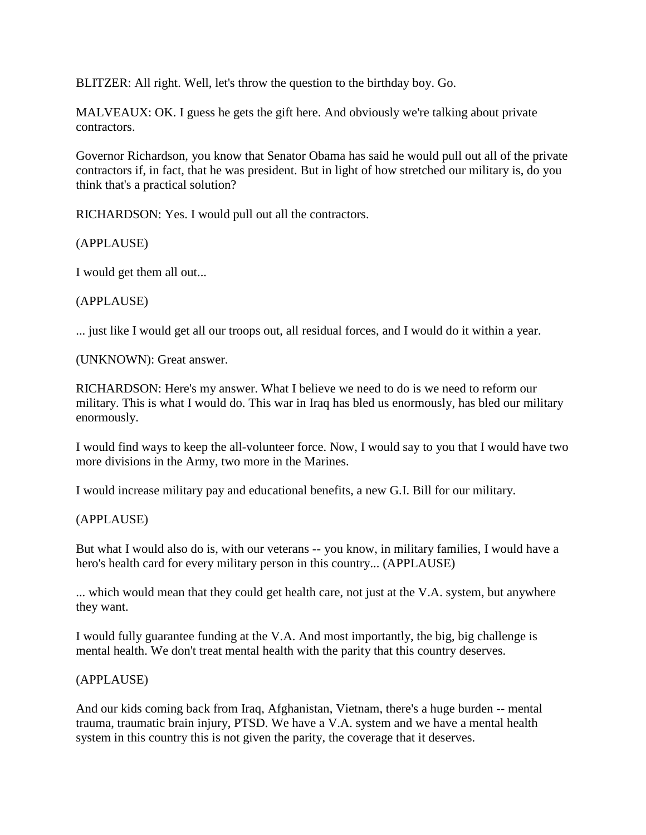BLITZER: All right. Well, let's throw the question to the birthday boy. Go.

MALVEAUX: OK. I guess he gets the gift here. And obviously we're talking about private contractors.

Governor Richardson, you know that Senator Obama has said he would pull out all of the private contractors if, in fact, that he was president. But in light of how stretched our military is, do you think that's a practical solution?

RICHARDSON: Yes. I would pull out all the contractors.

(APPLAUSE)

I would get them all out...

## (APPLAUSE)

... just like I would get all our troops out, all residual forces, and I would do it within a year.

(UNKNOWN): Great answer.

RICHARDSON: Here's my answer. What I believe we need to do is we need to reform our military. This is what I would do. This war in Iraq has bled us enormously, has bled our military enormously.

I would find ways to keep the all-volunteer force. Now, I would say to you that I would have two more divisions in the Army, two more in the Marines.

I would increase military pay and educational benefits, a new G.I. Bill for our military.

### (APPLAUSE)

But what I would also do is, with our veterans -- you know, in military families, I would have a hero's health card for every military person in this country... (APPLAUSE)

... which would mean that they could get health care, not just at the V.A. system, but anywhere they want.

I would fully guarantee funding at the V.A. And most importantly, the big, big challenge is mental health. We don't treat mental health with the parity that this country deserves.

### (APPLAUSE)

And our kids coming back from Iraq, Afghanistan, Vietnam, there's a huge burden -- mental trauma, traumatic brain injury, PTSD. We have a V.A. system and we have a mental health system in this country this is not given the parity, the coverage that it deserves.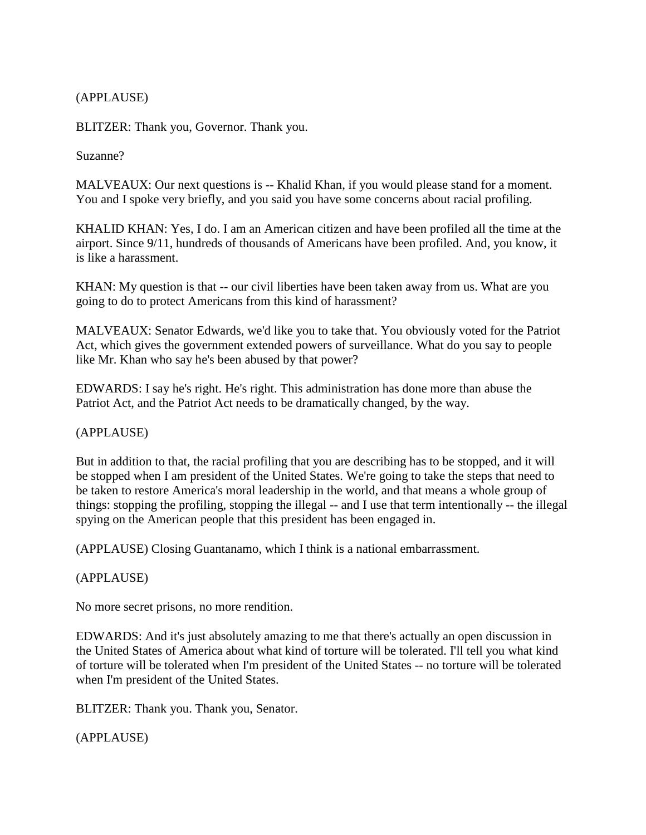# (APPLAUSE)

BLITZER: Thank you, Governor. Thank you.

Suzanne?

MALVEAUX: Our next questions is -- Khalid Khan, if you would please stand for a moment. You and I spoke very briefly, and you said you have some concerns about racial profiling.

KHALID KHAN: Yes, I do. I am an American citizen and have been profiled all the time at the airport. Since 9/11, hundreds of thousands of Americans have been profiled. And, you know, it is like a harassment.

KHAN: My question is that -- our civil liberties have been taken away from us. What are you going to do to protect Americans from this kind of harassment?

MALVEAUX: Senator Edwards, we'd like you to take that. You obviously voted for the Patriot Act, which gives the government extended powers of surveillance. What do you say to people like Mr. Khan who say he's been abused by that power?

EDWARDS: I say he's right. He's right. This administration has done more than abuse the Patriot Act, and the Patriot Act needs to be dramatically changed, by the way.

### (APPLAUSE)

But in addition to that, the racial profiling that you are describing has to be stopped, and it will be stopped when I am president of the United States. We're going to take the steps that need to be taken to restore America's moral leadership in the world, and that means a whole group of things: stopping the profiling, stopping the illegal -- and I use that term intentionally -- the illegal spying on the American people that this president has been engaged in.

(APPLAUSE) Closing Guantanamo, which I think is a national embarrassment.

### (APPLAUSE)

No more secret prisons, no more rendition.

EDWARDS: And it's just absolutely amazing to me that there's actually an open discussion in the United States of America about what kind of torture will be tolerated. I'll tell you what kind of torture will be tolerated when I'm president of the United States -- no torture will be tolerated when I'm president of the United States.

BLITZER: Thank you. Thank you, Senator.

(APPLAUSE)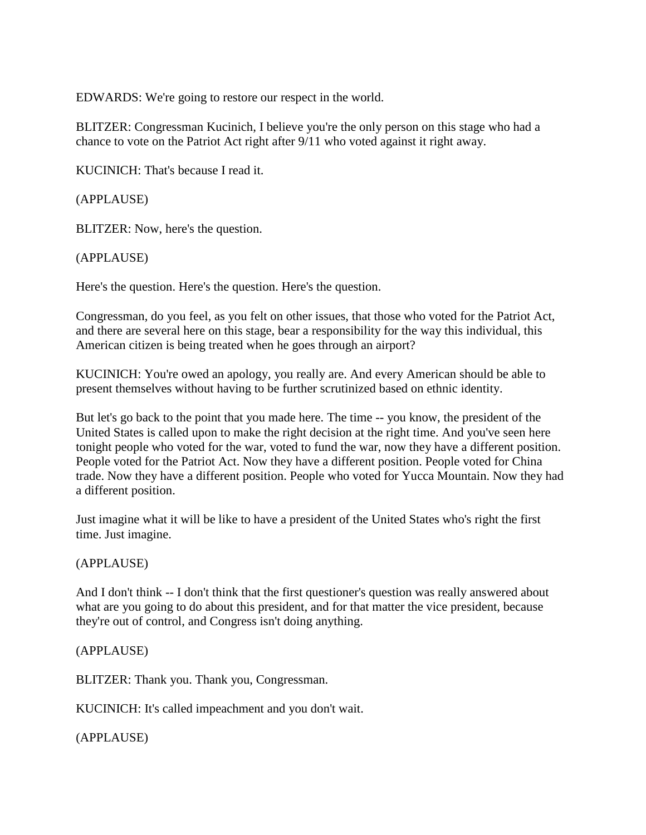EDWARDS: We're going to restore our respect in the world.

BLITZER: Congressman Kucinich, I believe you're the only person on this stage who had a chance to vote on the Patriot Act right after 9/11 who voted against it right away.

KUCINICH: That's because I read it.

(APPLAUSE)

BLITZER: Now, here's the question.

(APPLAUSE)

Here's the question. Here's the question. Here's the question.

Congressman, do you feel, as you felt on other issues, that those who voted for the Patriot Act, and there are several here on this stage, bear a responsibility for the way this individual, this American citizen is being treated when he goes through an airport?

KUCINICH: You're owed an apology, you really are. And every American should be able to present themselves without having to be further scrutinized based on ethnic identity.

But let's go back to the point that you made here. The time -- you know, the president of the United States is called upon to make the right decision at the right time. And you've seen here tonight people who voted for the war, voted to fund the war, now they have a different position. People voted for the Patriot Act. Now they have a different position. People voted for China trade. Now they have a different position. People who voted for Yucca Mountain. Now they had a different position.

Just imagine what it will be like to have a president of the United States who's right the first time. Just imagine.

(APPLAUSE)

And I don't think -- I don't think that the first questioner's question was really answered about what are you going to do about this president, and for that matter the vice president, because they're out of control, and Congress isn't doing anything.

(APPLAUSE)

BLITZER: Thank you. Thank you, Congressman.

KUCINICH: It's called impeachment and you don't wait.

(APPLAUSE)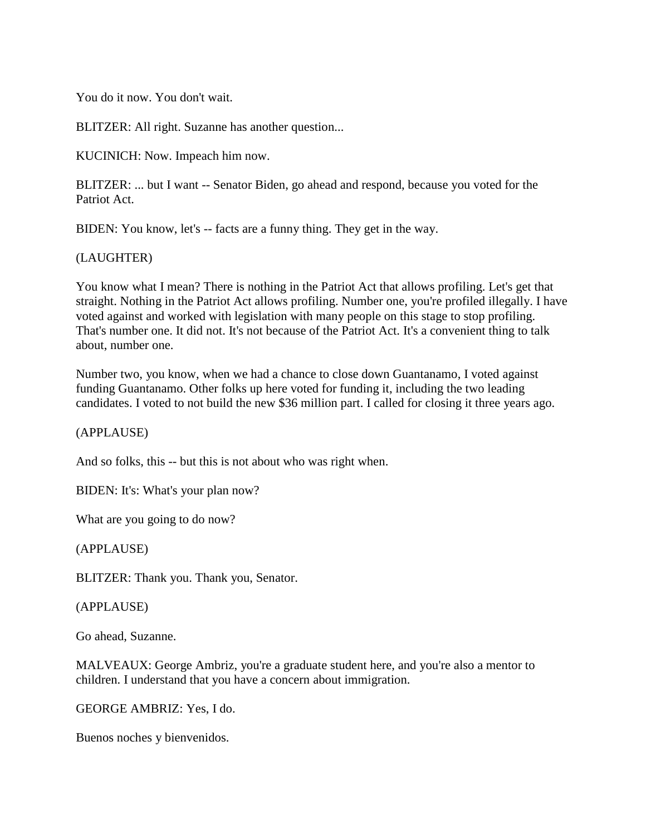You do it now. You don't wait.

BLITZER: All right. Suzanne has another question...

KUCINICH: Now. Impeach him now.

BLITZER: ... but I want -- Senator Biden, go ahead and respond, because you voted for the Patriot Act.

BIDEN: You know, let's -- facts are a funny thing. They get in the way.

## (LAUGHTER)

You know what I mean? There is nothing in the Patriot Act that allows profiling. Let's get that straight. Nothing in the Patriot Act allows profiling. Number one, you're profiled illegally. I have voted against and worked with legislation with many people on this stage to stop profiling. That's number one. It did not. It's not because of the Patriot Act. It's a convenient thing to talk about, number one.

Number two, you know, when we had a chance to close down Guantanamo, I voted against funding Guantanamo. Other folks up here voted for funding it, including the two leading candidates. I voted to not build the new \$36 million part. I called for closing it three years ago.

(APPLAUSE)

And so folks, this -- but this is not about who was right when.

BIDEN: It's: What's your plan now?

What are you going to do now?

(APPLAUSE)

BLITZER: Thank you. Thank you, Senator.

(APPLAUSE)

Go ahead, Suzanne.

MALVEAUX: George Ambriz, you're a graduate student here, and you're also a mentor to children. I understand that you have a concern about immigration.

GEORGE AMBRIZ: Yes, I do.

Buenos noches y bienvenidos.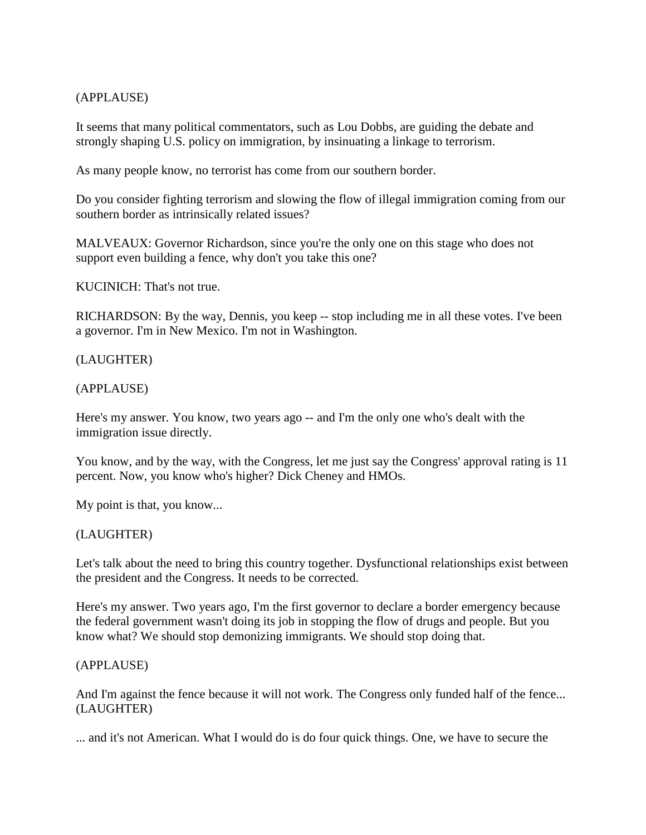(APPLAUSE)

It seems that many political commentators, such as Lou Dobbs, are guiding the debate and strongly shaping U.S. policy on immigration, by insinuating a linkage to terrorism.

As many people know, no terrorist has come from our southern border.

Do you consider fighting terrorism and slowing the flow of illegal immigration coming from our southern border as intrinsically related issues?

MALVEAUX: Governor Richardson, since you're the only one on this stage who does not support even building a fence, why don't you take this one?

KUCINICH: That's not true.

RICHARDSON: By the way, Dennis, you keep -- stop including me in all these votes. I've been a governor. I'm in New Mexico. I'm not in Washington.

(LAUGHTER)

(APPLAUSE)

Here's my answer. You know, two years ago -- and I'm the only one who's dealt with the immigration issue directly.

You know, and by the way, with the Congress, let me just say the Congress' approval rating is 11 percent. Now, you know who's higher? Dick Cheney and HMOs.

My point is that, you know...

#### (LAUGHTER)

Let's talk about the need to bring this country together. Dysfunctional relationships exist between the president and the Congress. It needs to be corrected.

Here's my answer. Two years ago, I'm the first governor to declare a border emergency because the federal government wasn't doing its job in stopping the flow of drugs and people. But you know what? We should stop demonizing immigrants. We should stop doing that.

#### (APPLAUSE)

And I'm against the fence because it will not work. The Congress only funded half of the fence... (LAUGHTER)

... and it's not American. What I would do is do four quick things. One, we have to secure the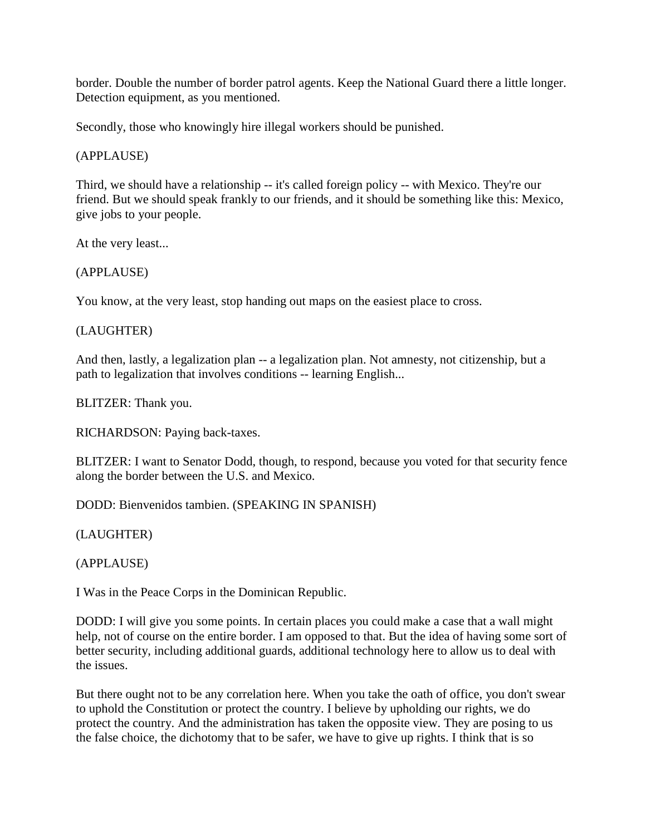border. Double the number of border patrol agents. Keep the National Guard there a little longer. Detection equipment, as you mentioned.

Secondly, those who knowingly hire illegal workers should be punished.

## (APPLAUSE)

Third, we should have a relationship -- it's called foreign policy -- with Mexico. They're our friend. But we should speak frankly to our friends, and it should be something like this: Mexico, give jobs to your people.

At the very least...

## (APPLAUSE)

You know, at the very least, stop handing out maps on the easiest place to cross.

## (LAUGHTER)

And then, lastly, a legalization plan -- a legalization plan. Not amnesty, not citizenship, but a path to legalization that involves conditions -- learning English...

BLITZER: Thank you.

RICHARDSON: Paying back-taxes.

BLITZER: I want to Senator Dodd, though, to respond, because you voted for that security fence along the border between the U.S. and Mexico.

DODD: Bienvenidos tambien. (SPEAKING IN SPANISH)

(LAUGHTER)

(APPLAUSE)

I Was in the Peace Corps in the Dominican Republic.

DODD: I will give you some points. In certain places you could make a case that a wall might help, not of course on the entire border. I am opposed to that. But the idea of having some sort of better security, including additional guards, additional technology here to allow us to deal with the issues.

But there ought not to be any correlation here. When you take the oath of office, you don't swear to uphold the Constitution or protect the country. I believe by upholding our rights, we do protect the country. And the administration has taken the opposite view. They are posing to us the false choice, the dichotomy that to be safer, we have to give up rights. I think that is so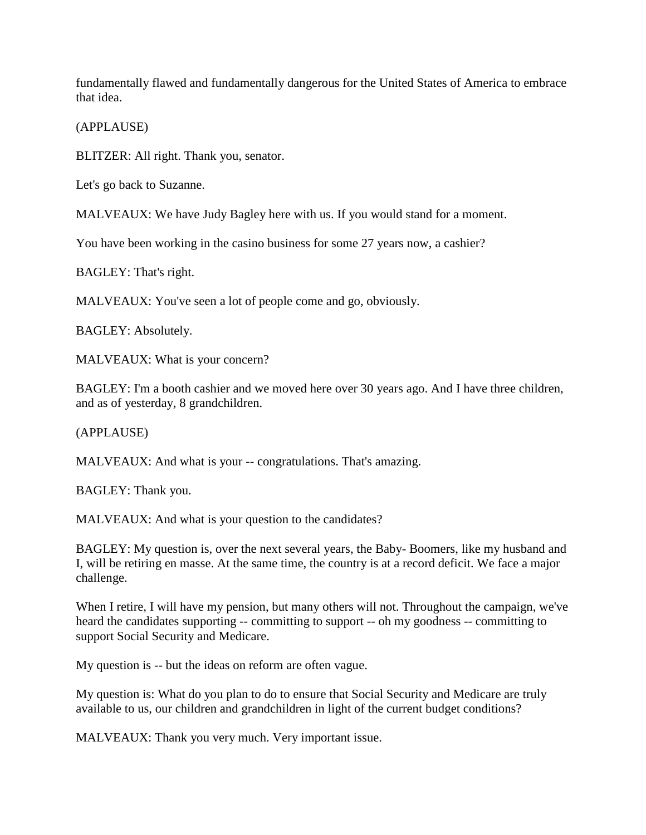fundamentally flawed and fundamentally dangerous for the United States of America to embrace that idea.

(APPLAUSE)

BLITZER: All right. Thank you, senator.

Let's go back to Suzanne.

MALVEAUX: We have Judy Bagley here with us. If you would stand for a moment.

You have been working in the casino business for some 27 years now, a cashier?

BAGLEY: That's right.

MALVEAUX: You've seen a lot of people come and go, obviously.

BAGLEY: Absolutely.

MALVEAUX: What is your concern?

BAGLEY: I'm a booth cashier and we moved here over 30 years ago. And I have three children, and as of yesterday, 8 grandchildren.

(APPLAUSE)

MALVEAUX: And what is your -- congratulations. That's amazing.

BAGLEY: Thank you.

MALVEAUX: And what is your question to the candidates?

BAGLEY: My question is, over the next several years, the Baby- Boomers, like my husband and I, will be retiring en masse. At the same time, the country is at a record deficit. We face a major challenge.

When I retire, I will have my pension, but many others will not. Throughout the campaign, we've heard the candidates supporting -- committing to support -- oh my goodness -- committing to support Social Security and Medicare.

My question is -- but the ideas on reform are often vague.

My question is: What do you plan to do to ensure that Social Security and Medicare are truly available to us, our children and grandchildren in light of the current budget conditions?

MALVEAUX: Thank you very much. Very important issue.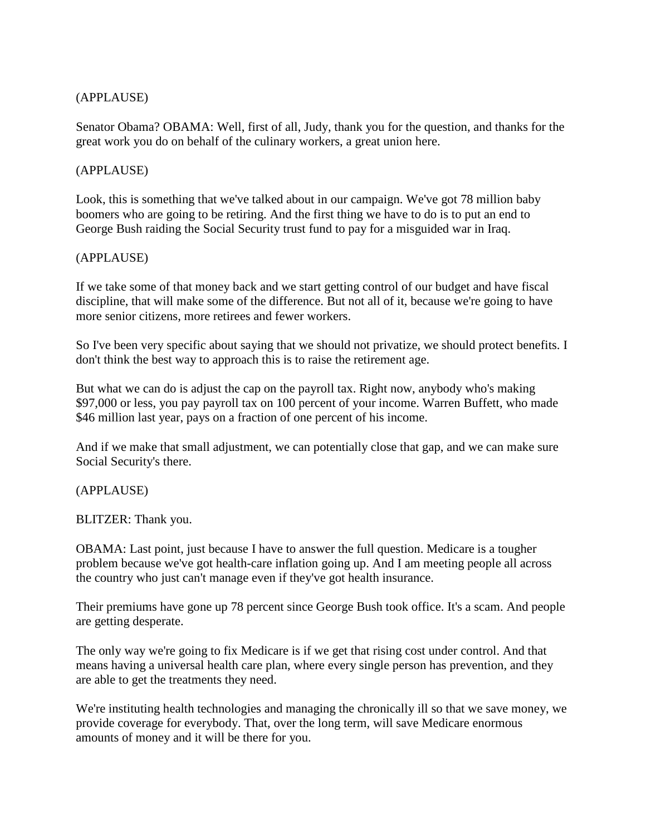## (APPLAUSE)

Senator Obama? OBAMA: Well, first of all, Judy, thank you for the question, and thanks for the great work you do on behalf of the culinary workers, a great union here.

### (APPLAUSE)

Look, this is something that we've talked about in our campaign. We've got 78 million baby boomers who are going to be retiring. And the first thing we have to do is to put an end to George Bush raiding the Social Security trust fund to pay for a misguided war in Iraq.

### (APPLAUSE)

If we take some of that money back and we start getting control of our budget and have fiscal discipline, that will make some of the difference. But not all of it, because we're going to have more senior citizens, more retirees and fewer workers.

So I've been very specific about saying that we should not privatize, we should protect benefits. I don't think the best way to approach this is to raise the retirement age.

But what we can do is adjust the cap on the payroll tax. Right now, anybody who's making \$97,000 or less, you pay payroll tax on 100 percent of your income. Warren Buffett, who made \$46 million last year, pays on a fraction of one percent of his income.

And if we make that small adjustment, we can potentially close that gap, and we can make sure Social Security's there.

### (APPLAUSE)

BLITZER: Thank you.

OBAMA: Last point, just because I have to answer the full question. Medicare is a tougher problem because we've got health-care inflation going up. And I am meeting people all across the country who just can't manage even if they've got health insurance.

Their premiums have gone up 78 percent since George Bush took office. It's a scam. And people are getting desperate.

The only way we're going to fix Medicare is if we get that rising cost under control. And that means having a universal health care plan, where every single person has prevention, and they are able to get the treatments they need.

We're instituting health technologies and managing the chronically ill so that we save money, we provide coverage for everybody. That, over the long term, will save Medicare enormous amounts of money and it will be there for you.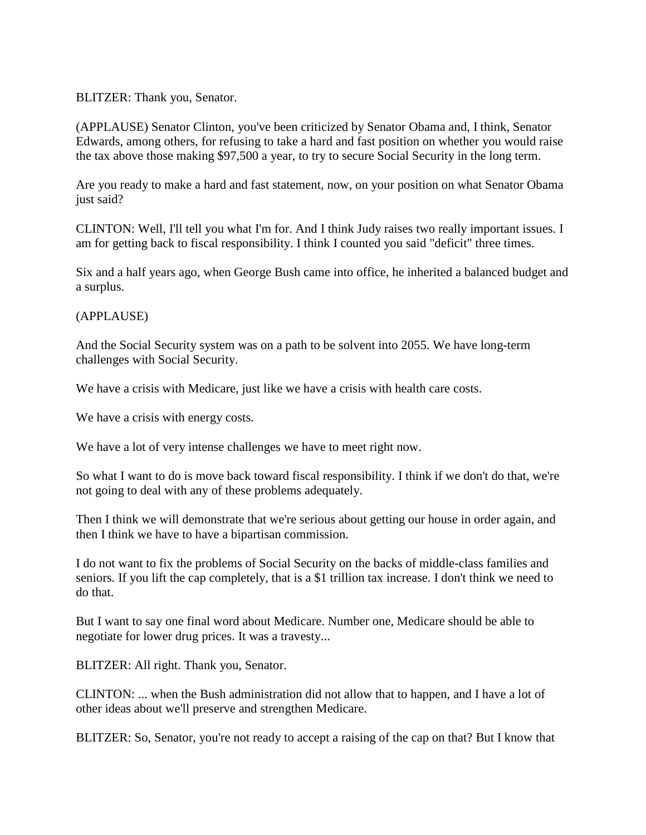### BLITZER: Thank you, Senator.

(APPLAUSE) Senator Clinton, you've been criticized by Senator Obama and, I think, Senator Edwards, among others, for refusing to take a hard and fast position on whether you would raise the tax above those making \$97,500 a year, to try to secure Social Security in the long term.

Are you ready to make a hard and fast statement, now, on your position on what Senator Obama just said?

CLINTON: Well, I'll tell you what I'm for. And I think Judy raises two really important issues. I am for getting back to fiscal responsibility. I think I counted you said "deficit" three times.

Six and a half years ago, when George Bush came into office, he inherited a balanced budget and a surplus.

## (APPLAUSE)

And the Social Security system was on a path to be solvent into 2055. We have long-term challenges with Social Security.

We have a crisis with Medicare, just like we have a crisis with health care costs.

We have a crisis with energy costs.

We have a lot of very intense challenges we have to meet right now.

So what I want to do is move back toward fiscal responsibility. I think if we don't do that, we're not going to deal with any of these problems adequately.

Then I think we will demonstrate that we're serious about getting our house in order again, and then I think we have to have a bipartisan commission.

I do not want to fix the problems of Social Security on the backs of middle-class families and seniors. If you lift the cap completely, that is a \$1 trillion tax increase. I don't think we need to do that.

But I want to say one final word about Medicare. Number one, Medicare should be able to negotiate for lower drug prices. It was a travesty...

BLITZER: All right. Thank you, Senator.

CLINTON: ... when the Bush administration did not allow that to happen, and I have a lot of other ideas about we'll preserve and strengthen Medicare.

BLITZER: So, Senator, you're not ready to accept a raising of the cap on that? But I know that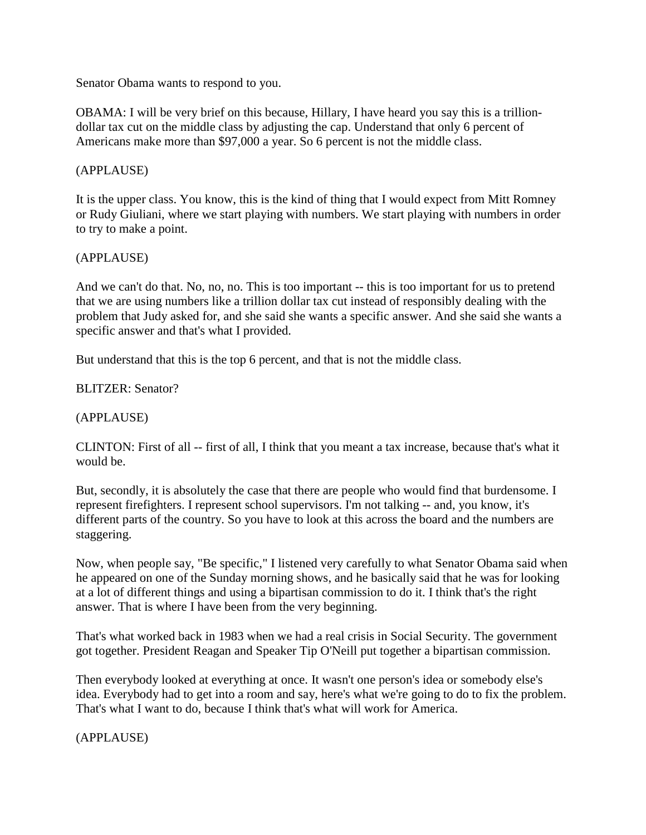Senator Obama wants to respond to you.

OBAMA: I will be very brief on this because, Hillary, I have heard you say this is a trilliondollar tax cut on the middle class by adjusting the cap. Understand that only 6 percent of Americans make more than \$97,000 a year. So 6 percent is not the middle class.

### (APPLAUSE)

It is the upper class. You know, this is the kind of thing that I would expect from Mitt Romney or Rudy Giuliani, where we start playing with numbers. We start playing with numbers in order to try to make a point.

### (APPLAUSE)

And we can't do that. No, no, no. This is too important -- this is too important for us to pretend that we are using numbers like a trillion dollar tax cut instead of responsibly dealing with the problem that Judy asked for, and she said she wants a specific answer. And she said she wants a specific answer and that's what I provided.

But understand that this is the top 6 percent, and that is not the middle class.

## BLITZER: Senator?

## (APPLAUSE)

CLINTON: First of all -- first of all, I think that you meant a tax increase, because that's what it would be.

But, secondly, it is absolutely the case that there are people who would find that burdensome. I represent firefighters. I represent school supervisors. I'm not talking -- and, you know, it's different parts of the country. So you have to look at this across the board and the numbers are staggering.

Now, when people say, "Be specific," I listened very carefully to what Senator Obama said when he appeared on one of the Sunday morning shows, and he basically said that he was for looking at a lot of different things and using a bipartisan commission to do it. I think that's the right answer. That is where I have been from the very beginning.

That's what worked back in 1983 when we had a real crisis in Social Security. The government got together. President Reagan and Speaker Tip O'Neill put together a bipartisan commission.

Then everybody looked at everything at once. It wasn't one person's idea or somebody else's idea. Everybody had to get into a room and say, here's what we're going to do to fix the problem. That's what I want to do, because I think that's what will work for America.

(APPLAUSE)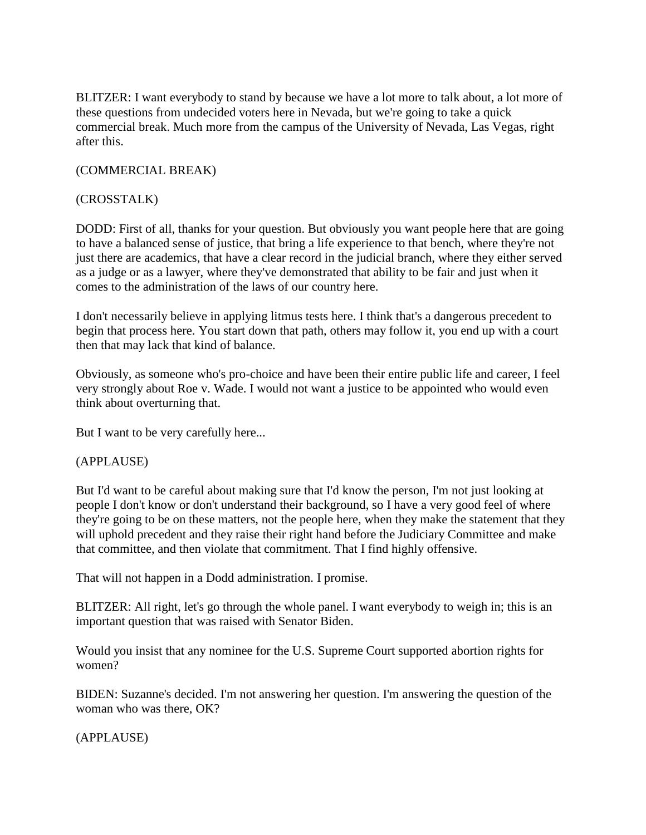BLITZER: I want everybody to stand by because we have a lot more to talk about, a lot more of these questions from undecided voters here in Nevada, but we're going to take a quick commercial break. Much more from the campus of the University of Nevada, Las Vegas, right after this.

## (COMMERCIAL BREAK)

## (CROSSTALK)

DODD: First of all, thanks for your question. But obviously you want people here that are going to have a balanced sense of justice, that bring a life experience to that bench, where they're not just there are academics, that have a clear record in the judicial branch, where they either served as a judge or as a lawyer, where they've demonstrated that ability to be fair and just when it comes to the administration of the laws of our country here.

I don't necessarily believe in applying litmus tests here. I think that's a dangerous precedent to begin that process here. You start down that path, others may follow it, you end up with a court then that may lack that kind of balance.

Obviously, as someone who's pro-choice and have been their entire public life and career, I feel very strongly about Roe v. Wade. I would not want a justice to be appointed who would even think about overturning that.

But I want to be very carefully here...

### (APPLAUSE)

But I'd want to be careful about making sure that I'd know the person, I'm not just looking at people I don't know or don't understand their background, so I have a very good feel of where they're going to be on these matters, not the people here, when they make the statement that they will uphold precedent and they raise their right hand before the Judiciary Committee and make that committee, and then violate that commitment. That I find highly offensive.

That will not happen in a Dodd administration. I promise.

BLITZER: All right, let's go through the whole panel. I want everybody to weigh in; this is an important question that was raised with Senator Biden.

Would you insist that any nominee for the U.S. Supreme Court supported abortion rights for women?

BIDEN: Suzanne's decided. I'm not answering her question. I'm answering the question of the woman who was there, OK?

(APPLAUSE)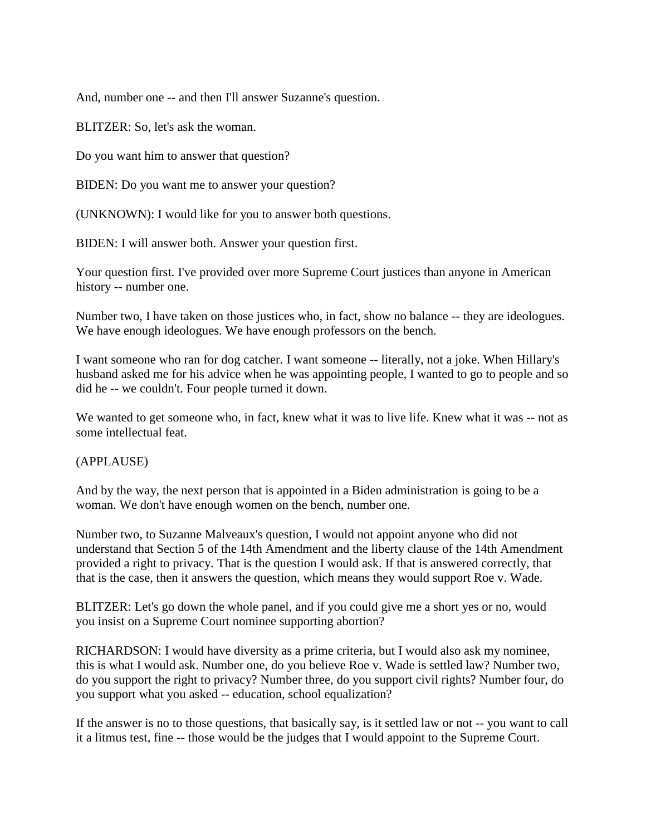And, number one -- and then I'll answer Suzanne's question.

BLITZER: So, let's ask the woman.

Do you want him to answer that question?

BIDEN: Do you want me to answer your question?

(UNKNOWN): I would like for you to answer both questions.

BIDEN: I will answer both. Answer your question first.

Your question first. I've provided over more Supreme Court justices than anyone in American history -- number one.

Number two, I have taken on those justices who, in fact, show no balance -- they are ideologues. We have enough ideologues. We have enough professors on the bench.

I want someone who ran for dog catcher. I want someone -- literally, not a joke. When Hillary's husband asked me for his advice when he was appointing people, I wanted to go to people and so did he -- we couldn't. Four people turned it down.

We wanted to get someone who, in fact, knew what it was to live life. Knew what it was -- not as some intellectual feat.

#### (APPLAUSE)

And by the way, the next person that is appointed in a Biden administration is going to be a woman. We don't have enough women on the bench, number one.

Number two, to Suzanne Malveaux's question, I would not appoint anyone who did not understand that Section 5 of the 14th Amendment and the liberty clause of the 14th Amendment provided a right to privacy. That is the question I would ask. If that is answered correctly, that that is the case, then it answers the question, which means they would support Roe v. Wade.

BLITZER: Let's go down the whole panel, and if you could give me a short yes or no, would you insist on a Supreme Court nominee supporting abortion?

RICHARDSON: I would have diversity as a prime criteria, but I would also ask my nominee, this is what I would ask. Number one, do you believe Roe v. Wade is settled law? Number two, do you support the right to privacy? Number three, do you support civil rights? Number four, do you support what you asked -- education, school equalization?

If the answer is no to those questions, that basically say, is it settled law or not -- you want to call it a litmus test, fine -- those would be the judges that I would appoint to the Supreme Court.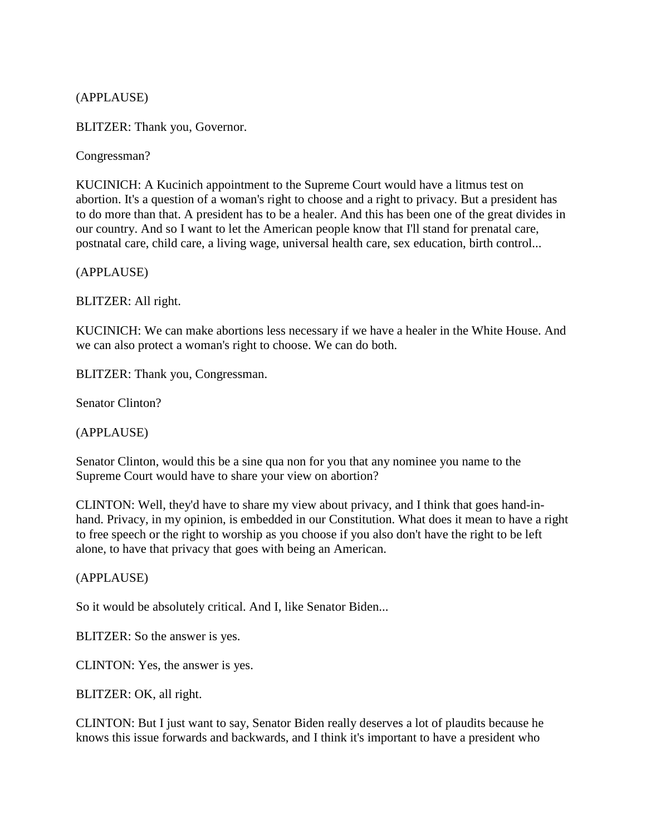(APPLAUSE)

BLITZER: Thank you, Governor.

Congressman?

KUCINICH: A Kucinich appointment to the Supreme Court would have a litmus test on abortion. It's a question of a woman's right to choose and a right to privacy. But a president has to do more than that. A president has to be a healer. And this has been one of the great divides in our country. And so I want to let the American people know that I'll stand for prenatal care, postnatal care, child care, a living wage, universal health care, sex education, birth control...

(APPLAUSE)

BLITZER: All right.

KUCINICH: We can make abortions less necessary if we have a healer in the White House. And we can also protect a woman's right to choose. We can do both.

BLITZER: Thank you, Congressman.

Senator Clinton?

(APPLAUSE)

Senator Clinton, would this be a sine qua non for you that any nominee you name to the Supreme Court would have to share your view on abortion?

CLINTON: Well, they'd have to share my view about privacy, and I think that goes hand-inhand. Privacy, in my opinion, is embedded in our Constitution. What does it mean to have a right to free speech or the right to worship as you choose if you also don't have the right to be left alone, to have that privacy that goes with being an American.

(APPLAUSE)

So it would be absolutely critical. And I, like Senator Biden...

BLITZER: So the answer is yes.

CLINTON: Yes, the answer is yes.

BLITZER: OK, all right.

CLINTON: But I just want to say, Senator Biden really deserves a lot of plaudits because he knows this issue forwards and backwards, and I think it's important to have a president who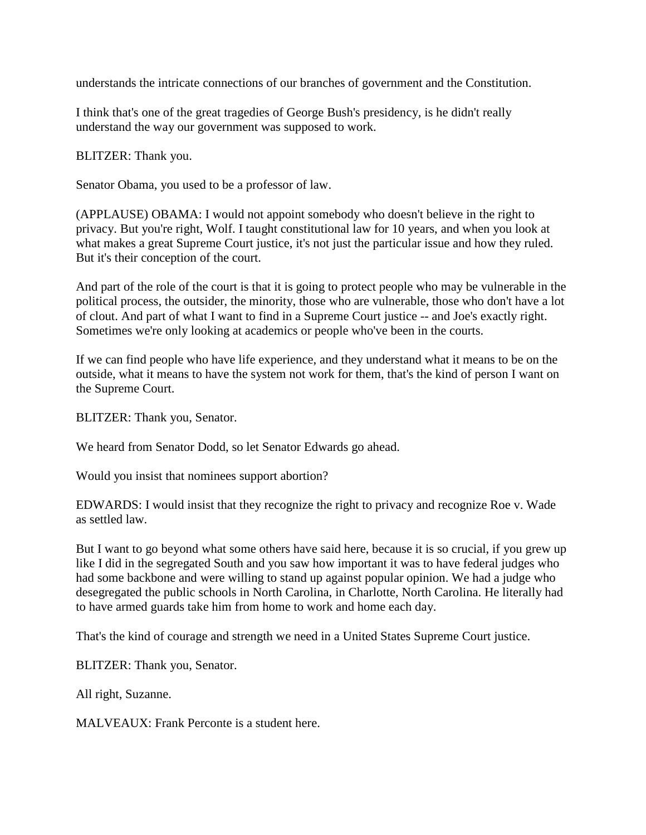understands the intricate connections of our branches of government and the Constitution.

I think that's one of the great tragedies of George Bush's presidency, is he didn't really understand the way our government was supposed to work.

BLITZER: Thank you.

Senator Obama, you used to be a professor of law.

(APPLAUSE) OBAMA: I would not appoint somebody who doesn't believe in the right to privacy. But you're right, Wolf. I taught constitutional law for 10 years, and when you look at what makes a great Supreme Court justice, it's not just the particular issue and how they ruled. But it's their conception of the court.

And part of the role of the court is that it is going to protect people who may be vulnerable in the political process, the outsider, the minority, those who are vulnerable, those who don't have a lot of clout. And part of what I want to find in a Supreme Court justice -- and Joe's exactly right. Sometimes we're only looking at academics or people who've been in the courts.

If we can find people who have life experience, and they understand what it means to be on the outside, what it means to have the system not work for them, that's the kind of person I want on the Supreme Court.

BLITZER: Thank you, Senator.

We heard from Senator Dodd, so let Senator Edwards go ahead.

Would you insist that nominees support abortion?

EDWARDS: I would insist that they recognize the right to privacy and recognize Roe v. Wade as settled law.

But I want to go beyond what some others have said here, because it is so crucial, if you grew up like I did in the segregated South and you saw how important it was to have federal judges who had some backbone and were willing to stand up against popular opinion. We had a judge who desegregated the public schools in North Carolina, in Charlotte, North Carolina. He literally had to have armed guards take him from home to work and home each day.

That's the kind of courage and strength we need in a United States Supreme Court justice.

BLITZER: Thank you, Senator.

All right, Suzanne.

MALVEAUX: Frank Perconte is a student here.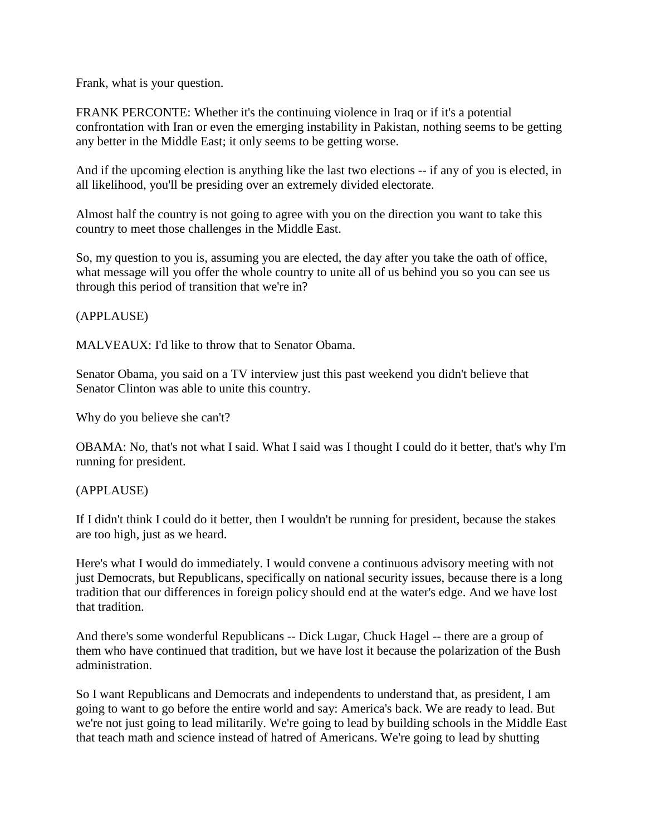Frank, what is your question.

FRANK PERCONTE: Whether it's the continuing violence in Iraq or if it's a potential confrontation with Iran or even the emerging instability in Pakistan, nothing seems to be getting any better in the Middle East; it only seems to be getting worse.

And if the upcoming election is anything like the last two elections -- if any of you is elected, in all likelihood, you'll be presiding over an extremely divided electorate.

Almost half the country is not going to agree with you on the direction you want to take this country to meet those challenges in the Middle East.

So, my question to you is, assuming you are elected, the day after you take the oath of office, what message will you offer the whole country to unite all of us behind you so you can see us through this period of transition that we're in?

## (APPLAUSE)

MALVEAUX: I'd like to throw that to Senator Obama.

Senator Obama, you said on a TV interview just this past weekend you didn't believe that Senator Clinton was able to unite this country.

Why do you believe she can't?

OBAMA: No, that's not what I said. What I said was I thought I could do it better, that's why I'm running for president.

### (APPLAUSE)

If I didn't think I could do it better, then I wouldn't be running for president, because the stakes are too high, just as we heard.

Here's what I would do immediately. I would convene a continuous advisory meeting with not just Democrats, but Republicans, specifically on national security issues, because there is a long tradition that our differences in foreign policy should end at the water's edge. And we have lost that tradition.

And there's some wonderful Republicans -- Dick Lugar, Chuck Hagel -- there are a group of them who have continued that tradition, but we have lost it because the polarization of the Bush administration.

So I want Republicans and Democrats and independents to understand that, as president, I am going to want to go before the entire world and say: America's back. We are ready to lead. But we're not just going to lead militarily. We're going to lead by building schools in the Middle East that teach math and science instead of hatred of Americans. We're going to lead by shutting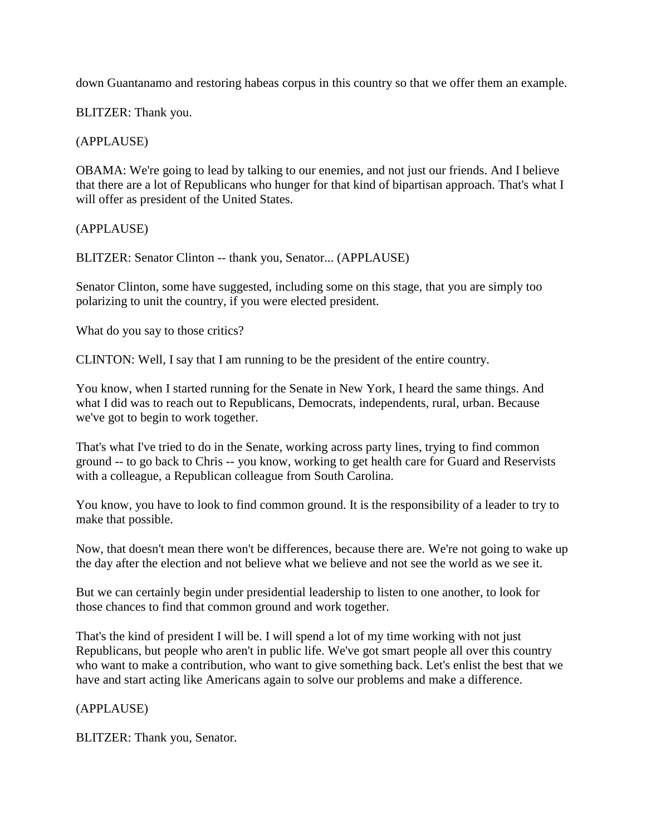down Guantanamo and restoring habeas corpus in this country so that we offer them an example.

BLITZER: Thank you.

(APPLAUSE)

OBAMA: We're going to lead by talking to our enemies, and not just our friends. And I believe that there are a lot of Republicans who hunger for that kind of bipartisan approach. That's what I will offer as president of the United States.

(APPLAUSE)

BLITZER: Senator Clinton -- thank you, Senator... (APPLAUSE)

Senator Clinton, some have suggested, including some on this stage, that you are simply too polarizing to unit the country, if you were elected president.

What do you say to those critics?

CLINTON: Well, I say that I am running to be the president of the entire country.

You know, when I started running for the Senate in New York, I heard the same things. And what I did was to reach out to Republicans, Democrats, independents, rural, urban. Because we've got to begin to work together.

That's what I've tried to do in the Senate, working across party lines, trying to find common ground -- to go back to Chris -- you know, working to get health care for Guard and Reservists with a colleague, a Republican colleague from South Carolina.

You know, you have to look to find common ground. It is the responsibility of a leader to try to make that possible.

Now, that doesn't mean there won't be differences, because there are. We're not going to wake up the day after the election and not believe what we believe and not see the world as we see it.

But we can certainly begin under presidential leadership to listen to one another, to look for those chances to find that common ground and work together.

That's the kind of president I will be. I will spend a lot of my time working with not just Republicans, but people who aren't in public life. We've got smart people all over this country who want to make a contribution, who want to give something back. Let's enlist the best that we have and start acting like Americans again to solve our problems and make a difference.

### (APPLAUSE)

BLITZER: Thank you, Senator.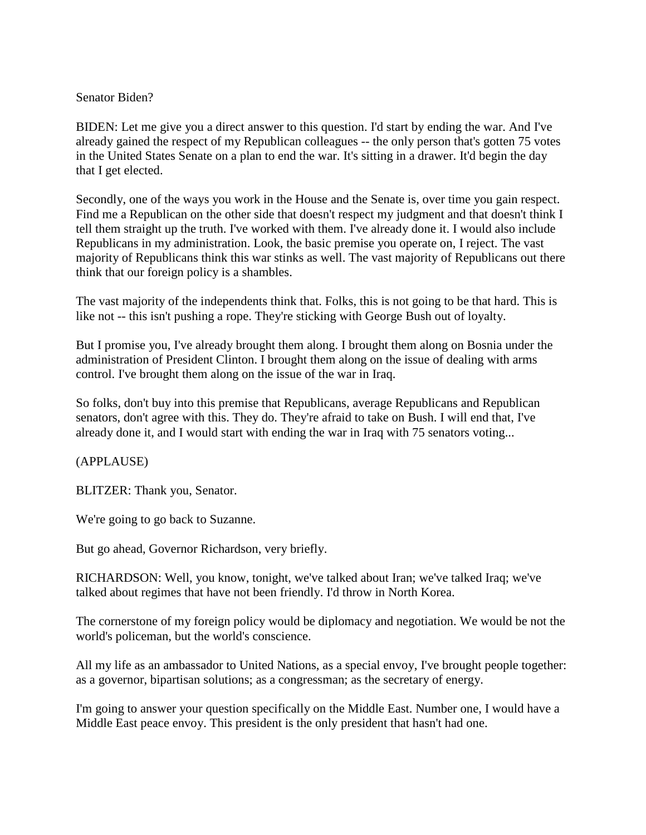### Senator Biden?

BIDEN: Let me give you a direct answer to this question. I'd start by ending the war. And I've already gained the respect of my Republican colleagues -- the only person that's gotten 75 votes in the United States Senate on a plan to end the war. It's sitting in a drawer. It'd begin the day that I get elected.

Secondly, one of the ways you work in the House and the Senate is, over time you gain respect. Find me a Republican on the other side that doesn't respect my judgment and that doesn't think I tell them straight up the truth. I've worked with them. I've already done it. I would also include Republicans in my administration. Look, the basic premise you operate on, I reject. The vast majority of Republicans think this war stinks as well. The vast majority of Republicans out there think that our foreign policy is a shambles.

The vast majority of the independents think that. Folks, this is not going to be that hard. This is like not -- this isn't pushing a rope. They're sticking with George Bush out of loyalty.

But I promise you, I've already brought them along. I brought them along on Bosnia under the administration of President Clinton. I brought them along on the issue of dealing with arms control. I've brought them along on the issue of the war in Iraq.

So folks, don't buy into this premise that Republicans, average Republicans and Republican senators, don't agree with this. They do. They're afraid to take on Bush. I will end that, I've already done it, and I would start with ending the war in Iraq with 75 senators voting...

(APPLAUSE)

BLITZER: Thank you, Senator.

We're going to go back to Suzanne.

But go ahead, Governor Richardson, very briefly.

RICHARDSON: Well, you know, tonight, we've talked about Iran; we've talked Iraq; we've talked about regimes that have not been friendly. I'd throw in North Korea.

The cornerstone of my foreign policy would be diplomacy and negotiation. We would be not the world's policeman, but the world's conscience.

All my life as an ambassador to United Nations, as a special envoy, I've brought people together: as a governor, bipartisan solutions; as a congressman; as the secretary of energy.

I'm going to answer your question specifically on the Middle East. Number one, I would have a Middle East peace envoy. This president is the only president that hasn't had one.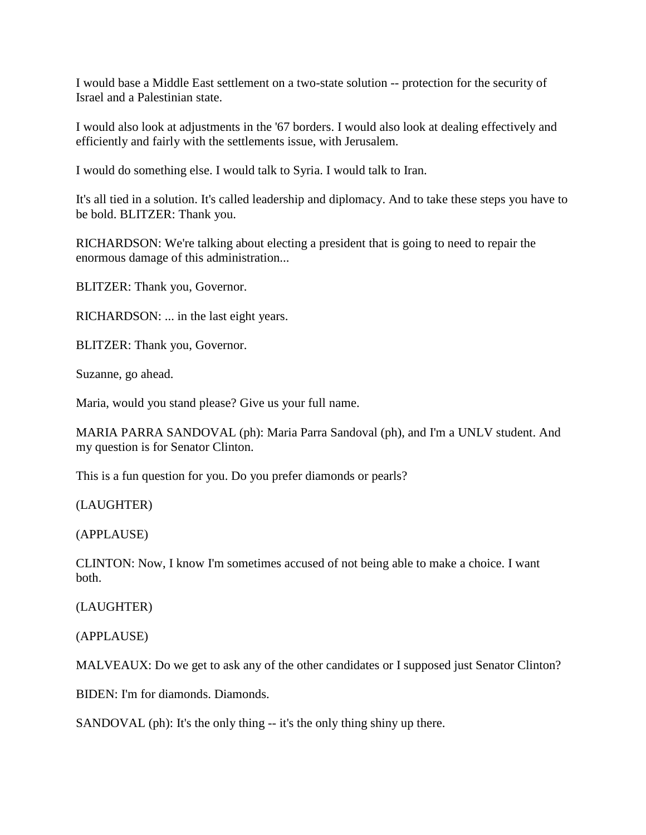I would base a Middle East settlement on a two-state solution -- protection for the security of Israel and a Palestinian state.

I would also look at adjustments in the '67 borders. I would also look at dealing effectively and efficiently and fairly with the settlements issue, with Jerusalem.

I would do something else. I would talk to Syria. I would talk to Iran.

It's all tied in a solution. It's called leadership and diplomacy. And to take these steps you have to be bold. BLITZER: Thank you.

RICHARDSON: We're talking about electing a president that is going to need to repair the enormous damage of this administration...

BLITZER: Thank you, Governor.

RICHARDSON: ... in the last eight years.

BLITZER: Thank you, Governor.

Suzanne, go ahead.

Maria, would you stand please? Give us your full name.

MARIA PARRA SANDOVAL (ph): Maria Parra Sandoval (ph), and I'm a UNLV student. And my question is for Senator Clinton.

This is a fun question for you. Do you prefer diamonds or pearls?

(LAUGHTER)

(APPLAUSE)

CLINTON: Now, I know I'm sometimes accused of not being able to make a choice. I want both.

(LAUGHTER)

(APPLAUSE)

MALVEAUX: Do we get to ask any of the other candidates or I supposed just Senator Clinton?

BIDEN: I'm for diamonds. Diamonds.

SANDOVAL (ph): It's the only thing -- it's the only thing shiny up there.